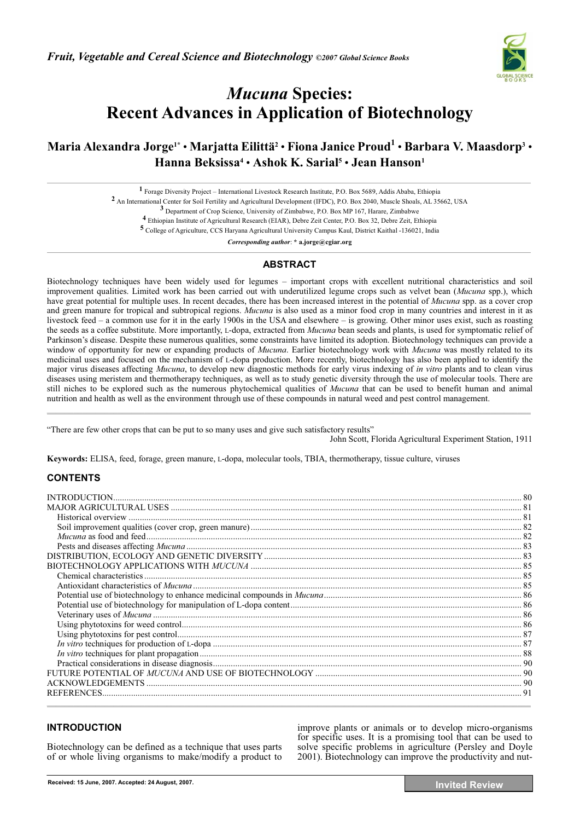

# *Mucuna* **Species: Recent Advances in Application of Biotechnology**

## **Maria Alexandra Jorge1\*** • **Marjatta Eilittä2** • **Fiona Janice Proud1** • **Barbara V. Maasdorp3** • **Hanna Beksissa4** • **Ashok K. Sarial5** • **Jean Hanson1**

**1** Forage Diversity Project – International Livestock Research Institute, P.O. Box 5689, Addis Ababa, Ethiopia

**2** An International Center for Soil Fertility and Agricultural Development (IFDC), P.O. Box 2040, Muscle Shoals, AL 35662, USA

**3** Department of Crop Science, University of Zimbabwe, P.O. Box MP 167, Harare, Zimbabwe

**4** Ethiopian Institute of Agricultural Research (EIAR), Debre Zeit Center, P.O. Box 32, Debre Zeit, Ethiopia **5** College of Agriculture, CCS Haryana Agricultural University Campus Kaul, District Kaithal -136021, India

*Corresponding author*: **\* a.jorge@cgiar.org** 

## **ABSTRACT**

Biotechnology techniques have been widely used for legumes – important crops with excellent nutritional characteristics and soil improvement qualities. Limited work has been carried out with underutilized legume crops such as velvet bean (*Mucuna* spp.), which have great potential for multiple uses. In recent decades, there has been increased interest in the potential of *Mucuna* spp. as a cover crop and green manure for tropical and subtropical regions. *Mucuna* is also used as a minor food crop in many countries and interest in it as livestock feed – a common use for it in the early 1900s in the USA and elsewhere – is growing. Other minor uses exist, such as roasting the seeds as a coffee substitute. More importantly, L-dopa, extracted from *Mucuna* bean seeds and plants, is used for symptomatic relief of Parkinson's disease. Despite these numerous qualities, some constraints have limited its adoption. Biotechnology techniques can provide a window of opportunity for new or expanding products of *Mucuna*. Earlier biotechnology work with *Mucuna* was mostly related to its medicinal uses and focused on the mechanism of L-dopa production. More recently, biotechnology has also been applied to identify the major virus diseases affecting *Mucuna*, to develop new diagnostic methods for early virus indexing of *in vitro* plants and to clean virus diseases using meristem and thermotherapy techniques, as well as to study genetic diversity through the use of molecular tools. There are still niches to be explored such as the numerous phytochemical qualities of *Mucuna* that can be used to benefit human and animal nutrition and health as well as the environment through use of these compounds in natural weed and pest control management.  $\mathcal{L} = \{ \mathcal{L} = \mathcal{L} \}$ 

"There are few other crops that can be put to so many uses and give such satisfactory results"

John Scott, Florida Agricultural Experiment Station, 1911

**Keywords:** ELISA, feed, forage, green manure, L-dopa, molecular tools, TBIA, thermotherapy, tissue culture, viruses

## **CONTENTS**

## **INTRODUCTION**

Biotechnology can be defined as a technique that uses parts of or whole living organisms to make/modify a product to

improve plants or animals or to develop micro-organisms for specific uses. It is a promising tool that can be used to solve specific problems in agriculture (Persley and Doyle 2001). Biotechnology can improve the productivity and nut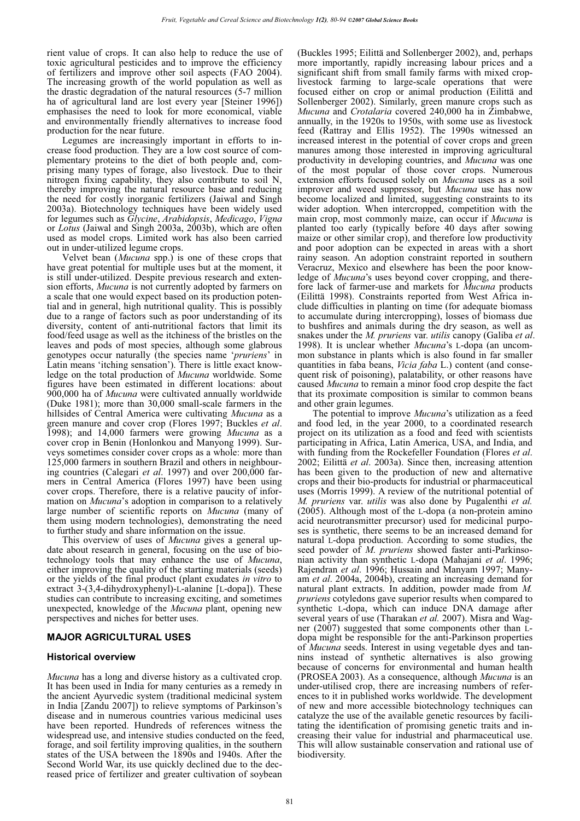rient value of crops. It can also help to reduce the use of toxic agricultural pesticides and to improve the efficiency of fertilizers and improve other soil aspects (FAO 2004). The increasing growth of the world population as well as the drastic degradation of the natural resources (5-7 million ha of agricultural land are lost every year [Steiner 1996]) emphasises the need to look for more economical, viable and environmentally friendly alternatives to increase food production for the near future.

Legumes are increasingly important in efforts to increase food production. They are a low cost source of complementary proteins to the diet of both people and, comprising many types of forage, also livestock. Due to their nitrogen fixing capability, they also contribute to soil N, thereby improving the natural resource base and reducing the need for costly inorganic fertilizers (Jaiwal and Singh 2003a). Biotechnology techniques have been widely used for legumes such as *Glycine*, *Arabidopsis*, *Medicago*, *Vigna*  or *Lotus* (Jaiwal and Singh 2003a, 2003b), which are often used as model crops. Limited work has also been carried out in under-utilized legume crops.

Velvet bean (*Mucuna* spp.) is one of these crops that have great potential for multiple uses but at the moment, it is still under-utilized. Despite previous research and extension efforts, *Mucuna* is not currently adopted by farmers on a scale that one would expect based on its production potential and in general, high nutritional quality. This is possibly due to a range of factors such as poor understanding of its diversity, content of anti-nutritional factors that limit its food/feed usage as well as the itchiness of the bristles on the leaves and pods of most species, although some glabrous genotypes occur naturally (the species name '*pruriens*' in Latin means 'itching sensation'). There is little exact knowledge on the total production of *Mucuna* worldwide. Some figures have been estimated in different locations: about 900,000 ha of *Mucuna* were cultivated annually worldwide (Duke 1981); more than 30,000 small-scale farmers in the hillsides of Central America were cultivating *Mucuna* as a green manure and cover crop (Flores 1997; Buckles *et al*. 1998); and 14,000 farmers were growing *Mucuna* as a cover crop in Benin (Honlonkou and Manyong 1999). Surveys sometimes consider cover crops as a whole: more than 125,000 farmers in southern Brazil and others in neighbouring countries (Calegari *et al*. 1997) and over 200,000 farmers in Central America (Flores 1997) have been using cover crops. Therefore, there is a relative paucity of information on *Mucuna*'s adoption in comparison to a relatively large number of scientific reports on *Mucuna* (many of them using modern technologies), demonstrating the need to further study and share information on the issue.

This overview of uses of *Mucuna* gives a general update about research in general, focusing on the use of biotechnology tools that may enhance the use of *Mucuna*, either improving the quality of the starting materials (seeds) or the yields of the final product (plant exudates *in vitro* to extract 3-(3,4-dihydroxyphenyl)-L-alanine [L-dopa]). These studies can contribute to increasing exciting, and sometimes unexpected, knowledge of the *Mucuna* plant, opening new perspectives and niches for better uses.

#### **MAJOR AGRICULTURAL USES**

#### **Historical overview**

*Mucuna* has a long and diverse history as a cultivated crop. It has been used in India for many centuries as a remedy in the ancient Ayurvedic system (traditional medicinal system in India [Zandu 2007]) to relieve symptoms of Parkinson's disease and in numerous countries various medicinal uses have been reported. Hundreds of references witness the widespread use, and intensive studies conducted on the feed, forage, and soil fertility improving qualities, in the southern states of the USA between the 1890s and 1940s. After the Second World War, its use quickly declined due to the decreased price of fertilizer and greater cultivation of soybean

(Buckles 1995; Eilittä and Sollenberger 2002), and, perhaps more importantly, rapidly increasing labour prices and a significant shift from small family farms with mixed croplivestock farming to large-scale operations that were focused either on crop or animal production (Eilittä and Sollenberger 2002). Similarly, green manure crops such as *Mucuna* and *Crotalaria* covered 240,000 ha in Zimbabwe, annually, in the 1920s to 1950s, with some use as livestock feed (Rattray and Ellis 1952). The 1990s witnessed an increased interest in the potential of cover crops and green manures among those interested in improving agricultural productivity in developing countries, and *Mucuna* was one of the most popular of those cover crops. Numerous extension efforts focused solely on *Mucuna* uses as a soil improver and weed suppressor, but *Mucuna* use has now become localized and limited, suggesting constraints to its wider adoption. When intercropped, competition with the main crop, most commonly maize, can occur if *Mucuna* is planted too early (typically before 40 days after sowing maize or other similar crop), and therefore low productivity and poor adoption can be expected in areas with a short rainy season. An adoption constraint reported in southern Veracruz, Mexico and elsewhere has been the poor knowledge of *Mucuna*'s uses beyond cover cropping, and therefore lack of farmer-use and markets for *Mucuna* products (Eilittä 1998). Constraints reported from West Africa include difficulties in planting on time (for adequate biomass to accumulate during intercropping), losses of biomass due to bushfires and animals during the dry season, as well as snakes under the  $M$ . pruriens var. utilis canopy (Galiba et al. 1998). It is unclear whether *Mucuna*'s L-dopa (an uncommon substance in plants which is also found in far smaller quantities in faba beans, *Vicia faba* L.) content (and consequent risk of poisoning), palatability, or other reasons have caused *Mucuna* to remain a minor food crop despite the fact that its proximate composition is similar to common beans and other grain legumes.

The potential to improve *Mucuna*'s utilization as a feed and food led, in the year 2000, to a coordinated research project on its utilization as a food and feed with scientists participating in Africa, Latin America, USA, and India, and with funding from the Rockefeller Foundation (Flores *et al*. 2002; Eilittä *et al*. 2003a). Since then, increasing attention has been given to the production of new and alternative crops and their bio-products for industrial or pharmaceutical uses (Morris 1999). A review of the nutritional potential of *M. pruriens* var. *utilis* was also done by Pugalenthi *et al.* (2005). Although most of the L-dopa (a non-protein amino acid neurotransmitter precursor) used for medicinal purposes is synthetic, there seems to be an increased demand for natural L-dopa production. According to some studies, the seed powder of *M*. *pruriens* showed faster anti-Parkinsonian activity than synthetic L-dopa (Mahajani *et al*. 1996; Rajendran *et al*. 1996; Hussain and Manyam 1997; Manyam *et al*. 2004a, 2004b), creating an increasing demand for natural plant extracts. In addition, powder made from *M. pruriens* cotyledons gave superior results when compared to synthetic L-dopa, which can induce DNA damage after several years of use (Tharakan *et al.* 2007). Misra and Wagner (2007) suggested that some components other than Ldopa might be responsible for the anti-Parkinson properties of *Mucuna* seeds. Interest in using vegetable dyes and tannins instead of synthetic alternatives is also growing because of concerns for environmental and human health (PROSEA 2003). As a consequence, although *Mucuna* is an under-utilised crop, there are increasing numbers of references to it in published works worldwide. The development of new and more accessible biotechnology techniques can catalyze the use of the available genetic resources by facilitating the identification of promising genetic traits and increasing their value for industrial and pharmaceutical use. This will allow sustainable conservation and rational use of biodiversity.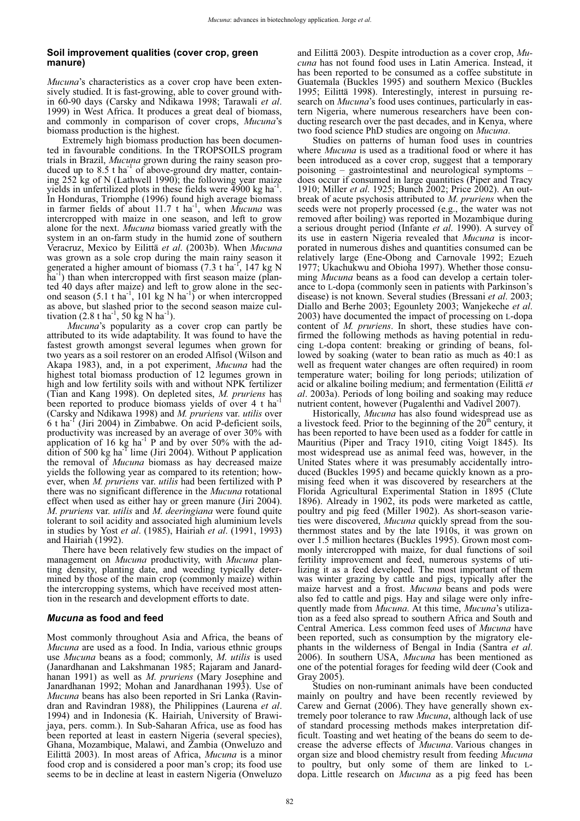#### **Soil improvement qualities (cover crop, green manure)**

*Mucuna*'s characteristics as a cover crop have been extensively studied. It is fast-growing, able to cover ground within 60-90 days (Carsky and Ndikawa 1998; Tarawali *et al*. 1999) in West Africa. It produces a great deal of biomass, and commonly in comparison of cover crops, *Mucuna*'s biomass production is the highest.

Extremely high biomass production has been documented in favourable conditions. In the TROPSOILS program trials in Brazil, *Mucuna* grown during the rainy season produced up to  $8.5$  t ha<sup>-1</sup> of above-ground dry matter, containing 252 kg of N (Lathwell 1990); the following year maize yields in unfertilized plots in these fields were  $\overline{4900}$  kg ha<sup>-1</sup>. In Honduras, Triomphe (1996) found high average biomass in farmer fields of about 11.7 t ha<sup>-1</sup>, when *Mucuna* was intercropped with maize in one season, and left to grow alone for the next. *Mucuna* biomass varied greatly with the system in an on-farm study in the humid zone of southern Veracruz, Mexico by Eilittä *et al*. (2003b). When *Mucuna* was grown as a sole crop during the main rainy season it generated a higher amount of biomass (7.3 t ha<sup>-1</sup>, 147 kg N ha<sup>-1</sup>) than when intercropped with first season maize (planted 40 days after maize) and left to grow alone in the second season  $(5.1 \text{ t} \text{ ha}^{-1}, 101 \text{ kg N} \text{ ha}^{-1})$  or when intercropped as above, but slashed prior to the second season maize cultivation  $(2.8 \text{ t} \text{ ha}^{-1}, 50 \text{ kg N} \text{ ha}^{-1})$ .

*Mucuna*'s popularity as a cover crop can partly be attributed to its wide adaptability. It was found to have the fastest growth amongst several legumes when grown for two years as a soil restorer on an eroded Alfisol (Wilson and Akapa 1983), and, in a pot experiment, *Mucuna* had the highest total biomass production of 12 legumes grown in high and low fertility soils with and without NPK fertilizer (Tian and Kang 1998). On depleted sites, *M. pruriens* has been reported to produce biomass yields of over 4 t hat (Carsky and Ndikawa 1998) and *M. pruriens* var. *utilis* over  $6$  t ha<sup>-1</sup> (Jiri 2004) in Zimbabwe. On acid P-deficient soils, productivity was increased by an average of over 30% with application of 16 kg ha<sup>-1</sup> P and by over 50% with the addition of 500 kg ha<sup>-1</sup> lime (Jiri 2004). Without P application the removal of *Mucuna* biomass as hay decreased maize yields the following year as compared to its retention; however, when *M. pruriens* var. *utilis* had been fertilized with P there was no significant difference in the *Mucuna* rotational effect when used as either hay or green manure (Jiri 2004). *M*. *pruriens* var. *utilis* and *M*. *deeringiana* were found quite tolerant to soil acidity and associated high aluminium levels in studies by Yost *et al*. (1985), Hairiah *et al*. (1991, 1993) and Hairiah (1992).

There have been relatively few studies on the impact of management on *Mucuna* productivity, with *Mucuna* planting density, planting date, and weeding typically determined by those of the main crop (commonly maize) within the intercropping systems, which have received most attention in the research and development efforts to date.

#### *Mucuna* **as food and feed**

Most commonly throughout Asia and Africa, the beans of *Mucuna* are used as a food. In India, various ethnic groups use *Mucuna* beans as a food; commonly, *M*. *utilis* is used (Janardhanan and Lakshmanan 1985; Rajaram and Janardhanan 1991) as well as *M*. *pruriens* (Mary Josephine and Janardhanan 1992; Mohan and Janardhanan 1993). Use of *Mucuna* beans has also been reported in Sri Lanka (Ravindran and Ravindran 1988), the Philippines (Laurena *et al*. 1994) and in Indonesia (K. Hairiah, University of Brawijaya, pers. comm.). In Sub-Saharan Africa, use as food has been reported at least in eastern Nigeria (several species), Ghana, Mozambique, Malawi, and Zambia (Onweluzo and Eilittä 2003). In most areas of Africa, *Mucuna* is a minor food crop and is considered a poor man's crop; its food use seems to be in decline at least in eastern Nigeria (Onweluzo

and Eilittä 2003). Despite introduction as a cover crop, *Mucuna* has not found food uses in Latin America. Instead, it has been reported to be consumed as a coffee substitute in Guatemala (Buckles 1995) and southern Mexico (Buckles 1995; Eilittä 1998). Interestingly, interest in pursuing research on *Mucuna*'s food uses continues, particularly in eastern Nigeria, where numerous researchers have been conducting research over the past decades, and in Kenya, where two food science PhD studies are ongoing on *Mucuna*.

Studies on patterns of human food uses in countries where *Mucuna* is used as a traditional food or where it has been introduced as a cover crop, suggest that a temporary poisoning – gastrointestinal and neurological symptoms – does occur if consumed in large quantities (Piper and Tracy 1910; Miller *et al*. 1925; Bunch 2002; Price 2002). An outbreak of acute psychosis attributed to *M*. *pruriens* when the seeds were not properly processed (e.g., the water was not removed after boiling) was reported in Mozambique during a serious drought period (Infante *et al*. 1990). A survey of its use in eastern Nigeria revealed that *Mucuna* is incorporated in numerous dishes and quantities consumed can be relatively large (Ene-Obong and Carnovale 1992; Ezueh 1977; Ukachukwu and Obioha 1997). Whether those consuming *Mucuna* beans as a food can develop a certain tolerance to L-dopa (commonly seen in patients with Parkinson's disease) is not known. Several studies (Bressani *et al*. 2003; Diallo and Berhe 2003; Egounlety 2003; Wanjekeche *et al*. 2003) have documented the impact of processing on L-dopa content of *M. pruriens*. In short, these studies have confirmed the following methods as having potential in reducing L-dopa content: breaking or grinding of beans, followed by soaking (water to bean ratio as much as 40:1 as well as frequent water changes are often required) in room temperature water; boiling for long periods; utilization of acid or alkaline boiling medium; and fermentation (Eilittä *et al*. 2003a). Periods of long boiling and soaking may reduce nutrient content, however (Pugalenthi and Vadivel 2007).

Historically, *Mucuna* has also found widespread use as a livestock feed. Prior to the beginning of the  $20<sup>th</sup>$  century, it has been reported to have been used as a fodder for cattle in Mauritius (Piper and Tracy 1910, citing Voigt 1845). Its most widespread use as animal feed was, however, in the United States where it was presumably accidentally introduced (Buckles 1995) and became quickly known as a promising feed when it was discovered by researchers at the Florida Agricultural Experimental Station in 1895 (Clute 1896). Already in 1902, its pods were marketed as cattle, poultry and pig feed (Miller 1902). As short-season varieties were discovered, *Mucuna* quickly spread from the southernmost states and by the late 1910s, it was grown on over 1.5 million hectares (Buckles 1995). Grown most commonly intercropped with maize, for dual functions of soil fertility improvement and feed, numerous systems of utilizing it as a feed developed. The most important of them was winter grazing by cattle and pigs, typically after the maize harvest and a frost. *Mucuna* beans and pods were also fed to cattle and pigs. Hay and silage were only infrequently made from *Mucuna*. At this time, *Mucuna*'s utilization as a feed also spread to southern Africa and South and Central America. Less common feed uses of *Mucuna* have been reported, such as consumption by the migratory elephants in the wilderness of Bengal in India (Santra *et al*. 2006). In southern USA, *Mucuna* has been mentioned as one of the potential forages for feeding wild deer (Cook and Gray 2005).

Studies on non-ruminant animals have been conducted mainly on poultry and have been recently reviewed by Carew and Gernat (2006). They have generally shown extremely poor tolerance to raw *Mucuna*, although lack of use of standard processing methods makes interpretation difficult. Toasting and wet heating of the beans do seem to decrease the adverse effects of *Mucuna*. Various changes in organ size and blood chemistry result from feeding *Mucuna* to poultry, but only some of them are linked to Ldopa. Little research on *Mucuna* as a pig feed has been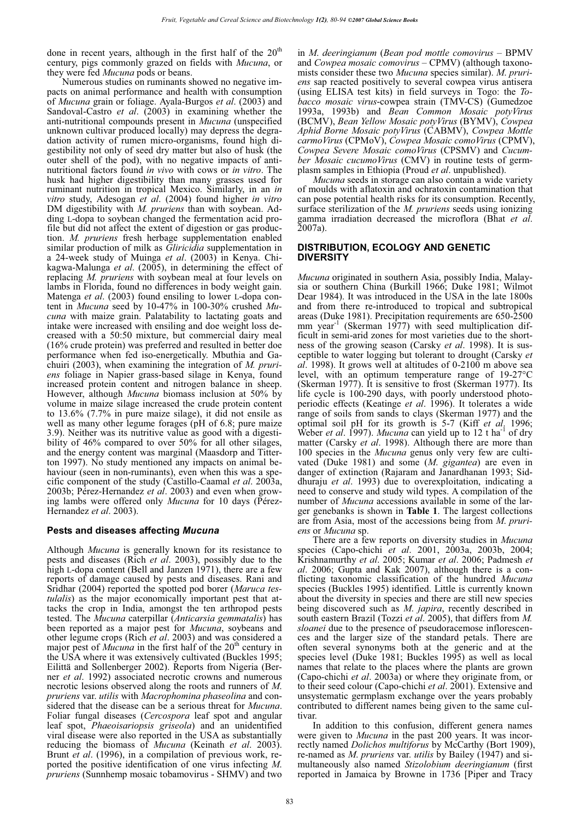done in recent years, although in the first half of the  $20<sup>th</sup>$ century, pigs commonly grazed on fields with *Mucuna*, or they were fed *Mucuna* pods or beans.

Numerous studies on ruminants showed no negative impacts on animal performance and health with consumption of *Mucuna* grain or foliage. Ayala-Burgos *et al*. (2003) and Sandoval-Castro *et al*. (2003) in examining whether the anti-nutritional compounds present in *Mucuna* (unspecified unknown cultivar produced locally) may depress the degradation activity of rumen micro-organisms, found high digestibility not only of seed dry matter but also of husk (the outer shell of the pod), with no negative impacts of antinutritional factors found *in vivo* with cows or *in vitro*. The husk had higher digestibility than many grasses used for ruminant nutrition in tropical Mexico. Similarly, in an *in vitro* study, Adesogan *et al*. (2004) found higher *in vitro* DM digestibility with *M. pruriens* than with soybean. Adding L-dopa to soybean changed the fermentation acid profile but did not affect the extent of digestion or gas production. *M. pruriens* fresh herbage supplementation enabled similar production of milk as *Gliricidia* supplementation in a 24-week study of Muinga *et al*. (2003) in Kenya. Chikagwa-Malunga *et al*. (2005), in determining the effect of replacing *M. pruriens* with soybean meal at four levels on lambs in Florida, found no differences in body weight gain. Matenga *et al.* (2003) found ensiling to lower L-dopa content in *Mucuna* seed by 10-47% in 100-30% crushed *Mu*cuna with maize grain. Palatability to lactating goats and intake were increased with ensiling and doe weight loss decreased with a 50:50 mixture, but commercial dairy meal (16% crude protein) was preferred and resulted in better doe performance when fed iso-energetically. Mbuthia and Gachuiri (2003), when examining the integration of *M. pruriens* foliage in Napier grass-based silage in Kenya, found increased protein content and nitrogen balance in sheep. However, although *Mucuna* biomass inclusion at 50% by volume in maize silage increased the crude protein content to 13.6% (7.7% in pure maize silage), it did not ensile as well as many other legume forages (pH of 6.8; pure maize 3.9). Neither was its nutritive value as good with a digestibility of 46% compared to over 50% for all other silages, and the energy content was marginal (Maasdorp and Titterton 1997). No study mentioned any impacts on animal behaviour (seen in non-ruminants), even when this was a specific component of the study (Castillo-Caamal *et al*. 2003a, 2003b; Pérez-Hernandez *et al*. 2003) and even when growing lambs were offered only *Mucuna* for 10 days (Pérez-Hernandez *et al*. 2003).

## **Pests and diseases affecting** *Mucuna*

Although *Mucuna* is generally known for its resistance to pests and diseases (Rich *et al*. 2003), possibly due to the high L-dopa content (Bell and Janzen 1971), there are a few reports of damage caused by pests and diseases. Rani and Sridhar (2004) reported the spotted pod borer (*Maruca testulalis*) as the major economically important pest that attacks the crop in India, amongst the ten arthropod pests tested. The *Mucuna* caterpillar (*Anticarsia gemmatalis*) has been reported as a major pest for *Mucuna*, soybeans and other legume crops (Rich *et al*. 2003) and was considered a major pest of *Mucuna* in the first half of the 20<sup>th</sup> century in the USA where it was extensively cultivated (Buckles 1995; Eilittä and Sollenberger 2002). Reports from Nigeria (Berner *et al.* 1992) associated necrotic crowns and numerous necrotic lesions observed along the roots and runners of *M*. pruriens var. *utilis* with *Macrophomina phaseolina* and considered that the disease can be a serious threat for *Mucuna*. Foliar fungal diseases (*Cercospora* leaf spot and angular leaf spot, *Phaeoisariopsis griseola*) and an unidentified viral disease were also reported in the USA as substantially reducing the biomass of *Mucuna* (Keinath *et al*. 2003). Brunt *et al*. (1996), in a compilation of previous work, reported the positive identification of one virus infecting *M*. *pruriens* (Sunnhemp mosaic tobamovirus - SHMV) and two

in *M*. *deeringianum* (*Bean pod mottle comovirus* – BPMV and *Cowpea mosaic comovirus* – CPMV) (although taxonomists consider these two *Mucuna* species similar). *M*. *pruriens* sap reacted positively to several cowpea virus antisera (using ELISA test kits) in field surveys in Togo: the *Tobacco mosaic virus*-cowpea strain (TMV-CS) (Gumedzoe 1993a, 1993b) and *Bean Common Mosaic potyVirus* (BCMV), *Bean Yellow Mosaic potyVirus* (BYMV), *Cowpea Aphid Borne Mosaic potyVirus* (CABMV), *Cowpea Mottle carmoVirus* (CPMoV), *Cowpea Mosaic comoVirus* (CPMV), *Cowpea Severe Mosaic comoVirus* (CPSMV) and *Cucumber Mosaic cucumoVirus* (CMV) in routine tests of germplasm samples in Ethiopia (Proud *et al*. unpublished).

*Mucuna* seeds in storage can also contain a wide variety of moulds with aflatoxin and ochratoxin contamination that can pose potential health risks for its consumption. Recently, surface sterilization of the *M. pruriens* seeds using ionizing gamma irradiation decreased the microflora (Bhat *et al*. 2007a).

#### **DISTRIBUTION, ECOLOGY AND GENETIC DIVERSITY**

*Mucuna* originated in southern Asia, possibly India, Malaysia or southern China (Burkill 1966; Duke 1981; Wilmot Dear 1984). It was introduced in the USA in the late 1800s and from there re-introduced to tropical and subtropical areas (Duke 1981). Precipitation requirements are 650-2500 mm year<sup>-1</sup> (Skerman 1977) with seed multiplication difficult in semi-arid zones for most varieties due to the shortness of the growing season (Carsky *et al*. 1998). It is susceptible to water logging but tolerant to drought (Carsky *et al*. 1998). It grows well at altitudes of 0-2100 m above sea level, with an optimum temperature range of 19-27°C (Skerman 1977). It is sensitive to frost (Skerman 1977). Its life cycle is 100-290 days, with poorly understood photoperiodic effects (Keatinge *et al*. 1996). It tolerates a wide range of soils from sands to clays (Skerman 1977) and the optimal soil pH for its growth is 5-7 (Kiff *et al*. 1996; Weber *et al.* 1997). *Mucuna* can yield up to 12 t ha<sup>-1</sup> of dry matter (Carsky *et al*. 1998). Although there are more than 100 species in the *Mucuna* genus only very few are cultivated (Duke 1981) and some (*M*. *gigantea*) are even in danger of extinction (Rajaram and Janardhanan 1993; Siddhuraju *et al*. 1993) due to overexploitation, indicating a need to conserve and study wild types. A compilation of the number of *Mucuna* accessions available in some of the larger genebanks is shown in **Table 1**. The largest collections are from Asia, most of the accessions being from *M*. *pruriens* or *Mucuna* sp.

There are a few reports on diversity studies in *Mucuna* species (Capo-chichi *et al*. 2001, 2003a, 2003b, 2004; Krishnamurthy *et al*. 2005; Kumar *et al*. 2006; Padmesh *et al*. 2006; Gupta and Kak 2007), although there is a conflicting taxonomic classification of the hundred *Mucuna* species (Buckles 1995) identified. Little is currently known about the diversity in species and there are still new species being discovered such as *M*. *japira*, recently described in south eastern Brazil (Tozzi *et al*. 2005), that differs from *M. sloanei* due to the presence of pseudoracemose inflorescences and the larger size of the standard petals. There are often several synonyms both at the generic and at the species level (Duke 1981; Buckles 1995) as well as local names that relate to the places where the plants are grown (Capo-chichi *et al*. 2003a) or where they originate from, or to their seed colour (Capo-chichi *et al*. 2001). Extensive and unsystematic germplasm exchange over the years probably contributed to different names being given to the same cultivar.

In addition to this confusion, different genera names were given to *Mucuna* in the past 200 years. It was incorrectly named *Dolichos multiforus* by McCarthy (Bort 1909), re-named as *M*. *pruriens* var. *utilis* by Bailey (1947) and simultaneously also named *Stizolobium deeringianum* (first reported in Jamaica by Browne in 1736 [Piper and Tracy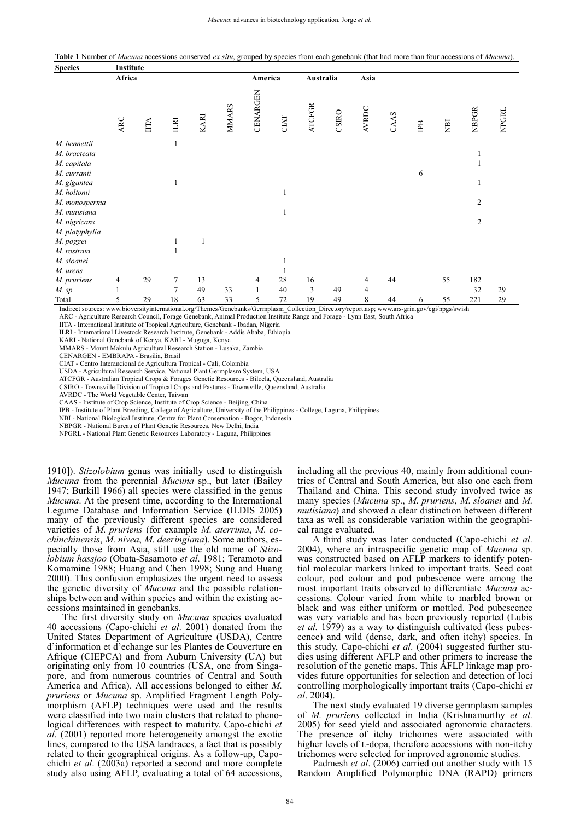**Table 1** Number of *Mucuna* accessions conserved *ex situ*, grouped by species from each genebank (that had more than four accessions of *Mucuna*).

| <b>Species</b>   | Institute  |           |                |             |              |                   |                 |                                           |       |                |      |    |                 |                        |              |
|------------------|------------|-----------|----------------|-------------|--------------|-------------------|-----------------|-------------------------------------------|-------|----------------|------|----|-----------------|------------------------|--------------|
|                  | Africa     |           |                |             |              | America           |                 | Australia                                 |       | Asia           |      |    |                 |                        |              |
|                  | <b>ARC</b> | IITA      | ILRI           | KARI        | <b>MMARS</b> | CENARGEN          | CIAT            | <b>ATCFGR</b>                             | CSIRO | <b>AVRDC</b>   | CAAS | ΓB | ÌЕN             | <b>NBPGR</b>           | <b>NPGRL</b> |
| M. bennettii     |            |           |                |             |              |                   |                 |                                           |       |                |      |    |                 |                        |              |
| M. bracteata     |            |           |                |             |              |                   |                 |                                           |       |                |      |    |                 |                        |              |
| M. capitata      |            |           |                |             |              |                   |                 |                                           |       |                |      |    |                 |                        |              |
| M. curranii      |            |           |                |             |              |                   |                 |                                           |       |                |      | 6  |                 |                        |              |
| M. gigantea      |            |           | 1              |             |              |                   |                 |                                           |       |                |      |    |                 |                        |              |
| M. holtonii      |            |           |                |             |              |                   |                 |                                           |       |                |      |    |                 |                        |              |
| M. monosperma    |            |           |                |             |              |                   |                 |                                           |       |                |      |    |                 | $\overline{c}$         |              |
| M. mutisiana     |            |           |                |             |              |                   |                 |                                           |       |                |      |    |                 |                        |              |
| M. nigricans     |            |           |                |             |              |                   |                 |                                           |       |                |      |    |                 | 2                      |              |
| M. platyphylla   |            |           |                |             |              |                   |                 |                                           |       |                |      |    |                 |                        |              |
| M. poggei        |            |           |                | 1           |              |                   |                 |                                           |       |                |      |    |                 |                        |              |
| M. rostrata      |            |           |                |             |              |                   |                 |                                           |       |                |      |    |                 |                        |              |
| M. sloanei       |            |           |                |             |              |                   |                 |                                           |       |                |      |    |                 |                        |              |
| M. urens         |            |           |                |             |              |                   |                 |                                           |       |                |      |    |                 |                        |              |
| M. pruriens      | 4          | 29        | $\tau$         | 13          |              | $\overline{4}$    | 28              | 16                                        |       | 4              | 44   |    | 55              | 182                    |              |
| M. sp            |            |           | $\overline{7}$ | 49          | 33           | 1                 | 40              | 3                                         | 49    | $\overline{4}$ |      |    |                 | 32                     | 29           |
| Total<br>$Y = 1$ | 5<br>1     | 29<br>. . | 18             | 63<br>10001 | 33<br>$\sim$ | 5<br>$1/\sqrt{2}$ | 72<br>$\sim$ 11 | 19<br>and the contract of<br>$\mathbf{r}$ | 49    | 8              | 44   | 6  | 55<br>$\cdot$ , | 221<br>$\cdot$ $\cdot$ | 29           |

Indirect sources: www.bioversityinternational.org/Themes/Genebanks/Germplasm\_Collection\_Directory/report.asp; www.ars-grin.gov/cgi/npgs/swish

ARC - Agriculture Research Council, Forage Genebank, Animal Production Institute Range and Forage - Lynn East, South Africa

IITA - International Institute of Tropical Agriculture, Genebank - Ibadan, Nigeria

ILRI - International Livestock Research Institute, Genebank - Addis Ababa, Ethiopia KARI - National Genebank of Kenya, KARI - Muguga, Kenya

MMARS - Mount Makulu Agricultural Research Station - Lusaka, Zambia

CENARGEN - EMBRAPA - Brasilia, Brasil

CIAT - Centro Interancional de Agricultura Tropical - Cali, Colombia

USDA - Agricultural Research Service, National Plant Germplasm System, USA

ATCFGR - Australian Tropical Crops & Forages Genetic Resources - Biloela, Queensland, Australia

CSIRO - Townsville Division of Tropical Crops and Pastures - Townsville, Queensland, Australia

AVRDC - The World Vegetable Center, Taiwan

CAAS - Institute of Crop Science, Institute of Crop Science - Beijing, China

IPB - Institute of Plant Breeding, College of Agriculture, University of the Philippines - College, Laguna, Philippines

NBI - National Biological Institute, Centre for Plant Conservation - Bogor, Indonesia

NBPGR - National Bureau of Plant Genetic Resources, New Delhi, India

NPGRL - National Plant Genetic Resources Laboratory - Laguna, Philippines

1910]). *Stizolobium* genus was initially used to distinguish *Mucuna* from the perennial *Mucuna* sp., but later (Bailey 1947; Burkill 1966) all species were classified in the genus *Mucuna*. At the present time, according to the International Legume Database and Information Service (ILDIS 2005) many of the previously different species are considered varieties of *M*. *pruriens* (for example *M*. *aterrima*, *M*. *cochinchinensis*, *M*. *nivea*, *M*. *deeringiana*). Some authors, especially those from Asia, still use the old name of *Stizolobium hassjoo* (Obata-Sasamoto *et al*. 1981; Teramoto and Komamine 1988; Huang and Chen 1998; Sung and Huang 2000). This confusion emphasizes the urgent need to assess the genetic diversity of *Mucuna* and the possible relationships between and within species and within the existing accessions maintained in genebanks.

The first diversity study on *Mucuna* species evaluated 40 accessions (Capo-chichi *et al*. 2001) donated from the United States Department of Agriculture (USDA), Centre d'information et d'echange sur les Plantes de Couverture en Afrique (CIEPCA) and from Auburn University (UA) but originating only from 10 countries (USA, one from Singapore, and from numerous countries of Central and South America and Africa). All accessions belonged to either *M*. *pruriens* or *Mucuna* sp. Amplified Fragment Length Polymorphism (AFLP) techniques were used and the results were classified into two main clusters that related to phenological differences with respect to maturity. Capo-chichi *et al*. (2001) reported more heterogeneity amongst the exotic lines, compared to the USA landraces, a fact that is possibly related to their geographical origins. As a follow-up, Capochichi *et al*. (2003a) reported a second and more complete study also using AFLP, evaluating a total of 64 accessions,

including all the previous 40, mainly from additional countries of Central and South America, but also one each from Thailand and China. This second study involved twice as many species (*Mucuna* sp., *M*. *pruriens*, *M*. *sloanei* and *M*. *mutisiana*) and showed a clear distinction between different taxa as well as considerable variation within the geographical range evaluated.

A third study was later conducted (Capo-chichi *et al*. 2004), where an intraspecific genetic map of *Mucuna* sp. was constructed based on AFLP markers to identify potential molecular markers linked to important traits. Seed coat colour, pod colour and pod pubescence were among the most important traits observed to differentiate *Mucuna* accessions. Colour varied from white to marbled brown or black and was either uniform or mottled. Pod pubescence was very variable and has been previously reported (Lubis *et al.* 1979) as a way to distinguish cultivated (less pubescence) and wild (dense, dark, and often itchy) species. In this study, Capo-chichi *et al*. (2004) suggested further studies using different AFLP and other primers to increase the resolution of the genetic maps. This AFLP linkage map provides future opportunities for selection and detection of loci controlling morphologically important traits (Capo-chichi *et al*. 2004).

The next study evaluated 19 diverse germplasm samples of *M*. *pruriens* collected in India (Krishnamurthy *et al*. 2005) for seed yield and associated agronomic characters. The presence of itchy trichomes were associated with higher levels of L-dopa, therefore accessions with non-itchy trichomes were selected for improved agronomic studies.

Padmesh *et al*. (2006) carried out another study with 15 Random Amplified Polymorphic DNA (RAPD) primers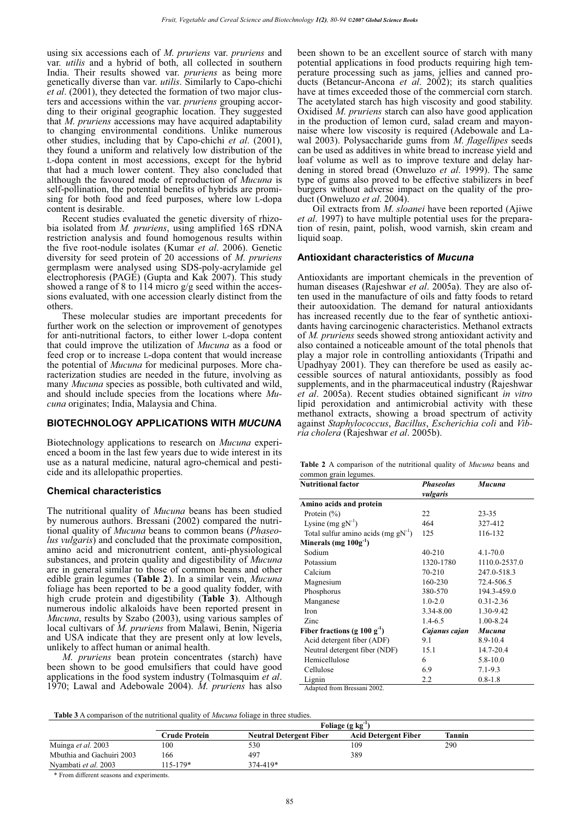using six accessions each of *M*. *pruriens* var. *pruriens* and var. *utilis* and a hybrid of both, all collected in southern India. Their results showed var. *pruriens* as being more genetically diverse than var. *utilis*. Similarly to Capo-chichi *et al*. (2001), they detected the formation of two major clusters and accessions within the var. *pruriens* grouping according to their original geographic location. They suggested that *M*. *pruriens* accessions may have acquired adaptability to changing environmental conditions. Unlike numerous other studies, including that by Capo-chichi *et al*. (2001), they found a uniform and relatively low distribution of the L-dopa content in most accessions, except for the hybrid that had a much lower content. They also concluded that although the favoured mode of reproduction of *Mucuna* is self-pollination, the potential benefits of hybrids are promising for both food and feed purposes, where low L-dopa content is desirable.

Recent studies evaluated the genetic diversity of rhizobia isolated from *M. pruriens*, using amplified 16S rDNA restriction analysis and found homogenous results within the five root-nodule isolates (Kumar *et al*. 2006). Genetic diversity for seed protein of 20 accessions of *M*. *pruriens* germplasm were analysed using SDS-poly-acrylamide gel electrophoresis (PAGE) (Gupta and Kak 2007). This study showed a range of 8 to 114 micro g/g seed within the accessions evaluated, with one accession clearly distinct from the others.

These molecular studies are important precedents for further work on the selection or improvement of genotypes for anti-nutritional factors, to either lower L-dopa content that could improve the utilization of *Mucuna* as a food or feed crop or to increase L-dopa content that would increase the potential of *Mucuna* for medicinal purposes. More characterization studies are needed in the future, involving as many *Mucuna* species as possible, both cultivated and wild, and should include species from the locations where *Mucuna* originates; India, Malaysia and China.

## **BIOTECHNOLOGY APPLICATIONS WITH** *MUCUNA*

Biotechnology applications to research on *Mucuna* experienced a boom in the last few years due to wide interest in its use as a natural medicine, natural agro-chemical and pesticide and its allelopathic properties.

#### **Chemical characteristics**

The nutritional quality of *Mucuna* beans has been studied by numerous authors. Bressani (2002) compared the nutritional quality of *Mucuna* beans to common beans (*Phaseolus vulgaris*) and concluded that the proximate composition, amino acid and micronutrient content, anti-physiological substances, and protein quality and digestibility of *Mucuna* are in general similar to those of common beans and other edible grain legumes (**Table 2**). In a similar vein, *Mucuna* foliage has been reported to be a good quality fodder, with high crude protein and digestibility (**Table 3**). Although numerous indolic alkaloids have been reported present in *Mucuna*, results by Szabo (2003), using various samples of local cultivars of *M*. *pruriens* from Malawi, Benin, Nigeria and USA indicate that they are present only at low levels, unlikely to affect human or animal health.

*M*. *pruriens* bean protein concentrates (starch) have been shown to be good emulsifiers that could have good applications in the food system industry (Tolmasquim *et al*. 1970; Lawal and Adebowale 2004). *M*. *pruriens* has also

been shown to be an excellent source of starch with many potential applications in food products requiring high temperature processing such as jams, jellies and canned products (Betancur-Ancona *et al*. 2002); its starch qualities have at times exceeded those of the commercial corn starch. The acetylated starch has high viscosity and good stability. Oxidised *M*. *pruriens* starch can also have good application in the production of lemon curd, salad cream and mayonnaise where low viscosity is required (Adebowale and Lawal 2003). Polysaccharide gums from *M*. *flagellipes* seeds can be used as additives in white bread to increase yield and loaf volume as well as to improve texture and delay hardening in stored bread (Onweluzo *et al*. 1999). The same type of gums also proved to be effective stabilizers in beef burgers without adverse impact on the quality of the product (Onweluzo *et al*. 2004).

Oil extracts from *M*. *sloanei* have been reported (Ajiwe *et al*. 1997) to have multiple potential uses for the preparation of resin, paint, polish, wood varnish, skin cream and liquid soap.

#### **Antioxidant characteristics of** *Mucuna*

Antioxidants are important chemicals in the prevention of human diseases (Rajeshwar *et al*. 2005a). They are also often used in the manufacture of oils and fatty foods to retard their autooxidation. The demand for natural antioxidants has increased recently due to the fear of synthetic antioxidants having carcinogenic characteristics. Methanol extracts of *M. pruriens* seeds showed strong antioxidant activity and also contained a noticeable amount of the total phenols that play a major role in controlling antioxidants (Tripathi and Upadhyay 2001). They can therefore be used as easily accessible sources of natural antioxidants, possibly as food supplements, and in the pharmaceutical industry (Rajeshwar *et al*. 2005a). Recent studies obtained significant *in vitro* lipid peroxidation and antimicrobial activity with these methanol extracts, showing a broad spectrum of activity against *Staphylococcus*, *Bacillus*, *Escherichia coli* and *Vibria cholera* (Rajeshwar *et al*. 2005b).

| <b>Table 2</b> A comparison of the nutritional quality of <i>Mucuna</i> beans and |  |  |  |  |
|-----------------------------------------------------------------------------------|--|--|--|--|
| common grain legumes.                                                             |  |  |  |  |

| <b>Nutritional factor</b>                | <b>Phaseolus</b><br>vulgaris | Mucuna        |
|------------------------------------------|------------------------------|---------------|
| Amino acids and protein                  |                              |               |
| Protein $(\% )$                          | 22                           | $23 - 35$     |
| Lysine $(mg gN^{-1})$                    | 464                          | 327-412       |
| Total sulfur amino acids $(mg g N^{-1})$ | 125                          | 116-132       |
| Minerals (mg $100g^{-1}$ )               |                              |               |
| Sodium                                   | 40-210                       | $4.1 - 70.0$  |
| Potassium                                | 1320-1780                    | 1110.0-2537.0 |
| Calcium                                  | 70-210                       | 247.0-518.3   |
| Magnesium                                | 160-230                      | 72.4-506.5    |
| Phosphorus                               | 380-570                      | 194.3-459.0   |
| Manganese                                | $1.0 - 2.0$                  | $0.31 - 2.36$ |
| Iron                                     | 3.34-8.00                    | 1.30-9.42     |
| Zinc                                     | $1.4 - 6.5$                  | 1.00-8.24     |
| Fiber fractions (g 100 $g^{-1}$ )        | Cajanus cajan                | Mucuna        |
| Acid detergent fiber (ADF)               | 9.1                          | 8.9-10.4      |
| Neutral detergent fiber (NDF)            | 15.1                         | 14.7-20.4     |
| Hemicellulose                            | 6                            | $5.8 - 10.0$  |
| Cellulose                                | 6.9                          | $7.1 - 9.3$   |
| Lignin                                   | 2.2                          | $0.8 - 1.8$   |

Adapted from Bressani 2002.

**Table 3** A comparison of the nutritional quality of *Mucuna* foliage in three studies.

|                           | Foliage $(g \ kg^{-1})$ |                                |                             |        |  |  |
|---------------------------|-------------------------|--------------------------------|-----------------------------|--------|--|--|
|                           | Crude Protein-          | <b>Neutral Detergent Fiber</b> | <b>Acid Detergent Fiber</b> | Tannin |  |  |
| Muinga et al. 2003        | 100                     | 530                            | 109                         | 290    |  |  |
| Mbuthia and Gachuiri 2003 | 166                     | 497                            | 389                         |        |  |  |
| Nyambati et al. 2003      | 115-179*                | 374-419*                       |                             |        |  |  |

\* From different seasons and experiments.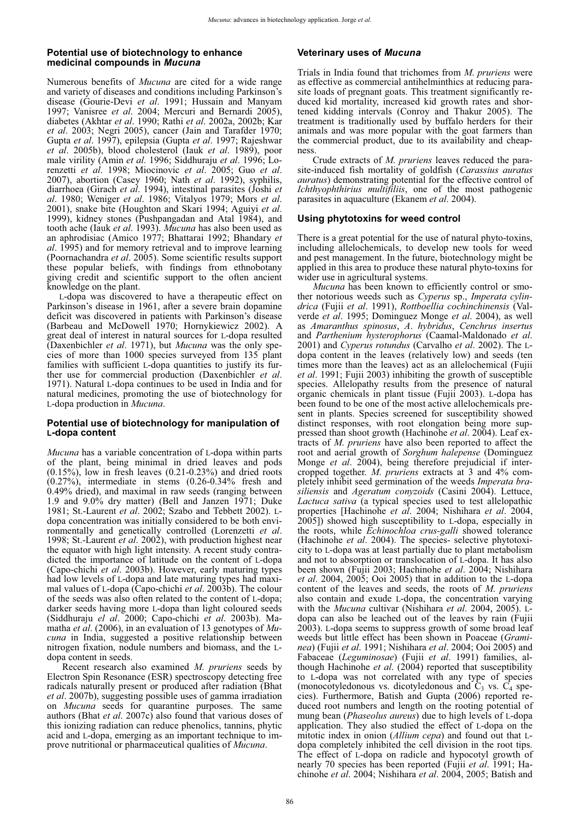#### **Potential use of biotechnology to enhance medicinal compounds in** *Mucuna*

Numerous benefits of *Mucuna* are cited for a wide range and variety of diseases and conditions including Parkinson's disease (Gourie-Devi *et al*. 1991; Hussain and Manyam 1997; Vanisree *et al*. 2004; Mercuri and Bernardi 2005), diabetes (Akhtar *et al*. 1990; Rathi *et al*. 2002a, 2002b; Kar *et al*. 2003; Negri 2005), cancer (Jain and Tarafder 1970; Gupta *et al*. 1997), epilepsia (Gupta *et al*. 1997; Rajeshwar *et al*. 2005b), blood cholesterol (Iauk *et al*. 1989), poor male virility (Amin *et al*. 1996; Siddhuraju *et al*. 1996; Lorenzetti *et al*. 1998; Miocinovic *et al*. 2005; Guo *et al*. 2007), abortion (Casey 1960; Nath *et al*. 1992), syphilis, diarrhoea (Girach *et al.* 1994), intestinal parasites (Joshi *et al*. 1980; Weniger *et al*. 1986; Vitalyos 1979; Mors *et al*. 2001), snake bite (Houghton and Skari 1994; Aguiyi *et al*. 1999), kidney stones (Pushpangadan and Atal 1984), and tooth ache (Iauk *et al*. 1993). *Mucuna* has also been used as an aphrodisiac (Amico 1977; Bhattarai 1992; Bhandary *et al*. 1995) and for memory retrieval and to improve learning (Poornachandra *et al*. 2005). Some scientific results support these popular beliefs, with findings from ethnobotany giving credit and scientific support to the often ancient knowledge on the plant.

L-dopa was discovered to have a therapeutic effect on Parkinson's disease in 1961, after a severe brain dopamine deficit was discovered in patients with Parkinson's disease (Barbeau and McDowell 1970; Hornykiewicz 2002). A great deal of interest in natural sources for L-dopa resulted (Daxenbichler *et al*. 1971), but *Mucuna* was the only species of more than 1000 species surveyed from 135 plant families with sufficient L-dopa quantities to justify its further use for commercial production (Daxenbichler *et al*. 1971). Natural L-dopa continues to be used in India and for natural medicines, promoting the use of biotechnology for L-dopa production in *Mucuna*.

#### **Potential use of biotechnology for manipulation of L-dopa content**

*Mucuna* has a variable concentration of L-dopa within parts of the plant, being minimal in dried leaves and pods  $(0.15\%)$ , low in fresh leaves  $(0.21-0.23\%)$  and dried roots (0.27%), intermediate in stems (0.26-0.34% fresh and 0.49% dried), and maximal in raw seeds (ranging between 1.9 and 9.0% dry matter) (Bell and Janzen 1971; Duke 1981; St.-Laurent *et al*. 2002; Szabo and Tebbett 2002). Ldopa concentration was initially considered to be both environmentally and genetically controlled (Lorenzetti *et al*. 1998; St.-Laurent *et al*. 2002), with production highest near the equator with high light intensity. A recent study contradicted the importance of latitude on the content of L-dopa (Capo-chichi *et al*. 2003b). However, early maturing types had low levels of L-dopa and late maturing types had maximal values of L-dopa (Capo-chichi *et al*. 2003b). The colour of the seeds was also often related to the content of L-dopa; darker seeds having more L-dopa than light coloured seeds (Siddhuraju *el al*. 2000; Capo-chichi *et al*. 2003b). Mamatha *et al*. (2006), in an evaluation of 13 genotypes of *Mucuna* in India, suggested a positive relationship between nitrogen fixation, nodule numbers and biomass, and the Ldopa content in seeds.

Recent research also examined *M*. *pruriens* seeds by Electron Spin Resonance (ESR) spectroscopy detecting free radicals naturally present or produced after radiation (Bhat *et al*. 2007b), suggesting possible uses of gamma irradiation on *Mucuna* seeds for quarantine purposes. The same authors (Bhat *et al*. 2007c) also found that various doses of this ionizing radiation can reduce phenolics, tannins, phytic acid and L-dopa, emerging as an important technique to improve nutritional or pharmaceutical qualities of *Mucuna*.

## **Veterinary uses of** *Mucuna*

Trials in India found that trichomes from *M*. *pruriens* were as effective as commercial antihelminthics at reducing parasite loads of pregnant goats. This treatment significantly reduced kid mortality, increased kid growth rates and shortened kidding intervals (Conroy and Thakur 2005). The treatment is traditionally used by buffalo herders for their animals and was more popular with the goat farmers than the commercial product, due to its availability and cheapness.

Crude extracts of *M*. *pruriens* leaves reduced the parasite-induced fish mortality of goldfish (*Carassius auratus auratus*) demonstrating potential for the effective control of *Ichthyophthirius multifiliis*, one of the most pathogenic parasites in aquaculture (Ekanem *et al*. 2004).

### **Using phytotoxins for weed control**

There is a great potential for the use of natural phyto-toxins, including allelochemicals, to develop new tools for weed and pest management. In the future, biotechnology might be applied in this area to produce these natural phyto-toxins for wider use in agricultural systems.

*Mucuna* has been known to efficiently control or smother notorious weeds such as *Cyperus* sp., *Imperata cylindrica* (Fujii *et al*. 1991), *Rottboellia cochinchinensis* (Valverde *et al*. 1995; Dominguez Monge *et al*. 2004), as well as *Amaranthus spinosus*, *A*. *hybridus*, *Cenchrus insertus* and *Parthenium hysterophorus* (Caamal-Maldonado *et al*. 2001) and *Cyperus rotundus* (Carvalho *et al*. 2002). The Ldopa content in the leaves (relatively low) and seeds (ten times more than the leaves) act as an allelochemical (Fujii *et al*. 1991; Fujii 2003) inhibiting the growth of susceptible species. Allelopathy results from the presence of natural organic chemicals in plant tissue (Fujii 2003). L-dopa has been found to be one of the most active allelochemicals present in plants. Species screened for susceptibility showed distinct responses, with root elongation being more suppressed than shoot growth (Hachinohe *et al*. 2004). Leaf extracts of *M*. *pruriens* have also been reported to affect the root and aerial growth of *Sorghum halepense* (Dominguez Monge *et al*. 2004), being therefore prejudicial if intercropped together. *M*. *pruriens* extracts at 3 and 4% completely inhibit seed germination of the weeds *Imperata brasiliensis* and *Ageratum conyzoids* (Casini 2004). Lettuce, *Lactuca sativa* (a typical species used to test allelopathic properties [Hachinohe *et al*. 2004; Nishihara *et al*. 2004, 2005]) showed high susceptibility to L-dopa, especially in the roots, while *Echinochloa crus-galli* showed tolerance (Hachinohe *et al.* 2004). The species- selective phytotoxicity to L-dopa was at least partially due to plant metabolism and not to absorption or translocation of L-dopa. It has also been shown (Fujii 2003; Hachinohe *et al*. 2004; Nishihara *et al*. 2004, 2005; Ooi 2005) that in addition to the L-dopa content of the leaves and seeds, the roots of *M*. *pruriens* also contain and exude L-dopa, the concentration varying with the *Mucuna* cultivar (Nishihara *et al*. 2004, 2005). Ldopa can also be leached out of the leaves by rain (Fujii 2003). L-dopa seems to suppress growth of some broad leaf weeds but little effect has been shown in Poaceae (*Graminea*) (Fujii *et al*. 1991; Nishihara *et al*. 2004; Ooi 2005) and Fabaceae (*Leguminosae*) (Fujii *et al*. 1991) families, although Hachinohe *et al*. (2004) reported that susceptibility to L-dopa was not correlated with any type of species (monocotyledonous vs. dicotyledonous and  $C_3$  vs.  $C_4$  species). Furthermore, Batish and Gupta (2006) reported reduced root numbers and length on the rooting potential of mung bean (*Phaseolus aureus*) due to high levels of L-dopa application. They also studied the effect of L-dopa on the mitotic index in onion (*Allium cepa*) and found out that Ldopa completely inhibited the cell division in the root tips. The effect of L-dopa on radicle and hypocotyl growth of nearly 70 species has been reported (Fujii *et al*. 1991; Hachinohe *et al*. 2004; Nishihara *et al*. 2004, 2005; Batish and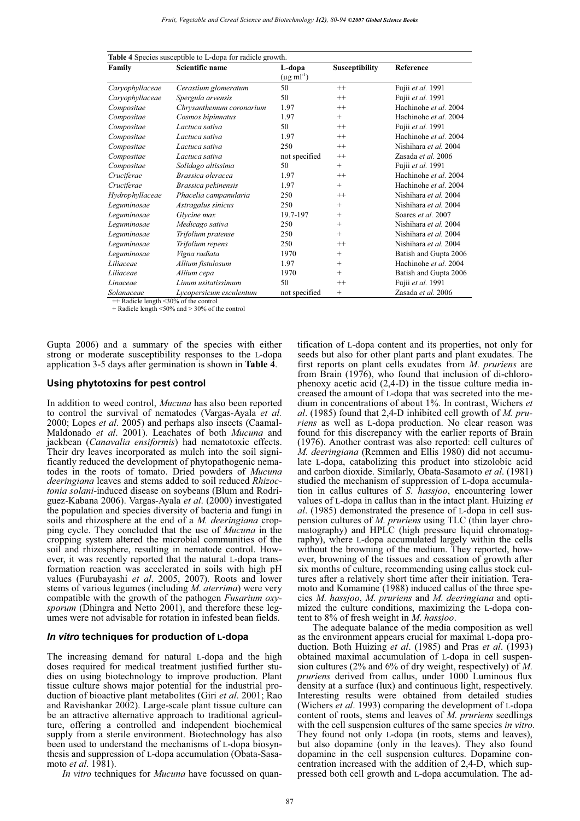| Table 4 Species susceptible to L-dopa for radicle growth. |                          |                           |                       |                       |  |  |  |  |
|-----------------------------------------------------------|--------------------------|---------------------------|-----------------------|-----------------------|--|--|--|--|
| Family                                                    | Scientific name          | L-dopa                    | <b>Susceptibility</b> | Reference             |  |  |  |  |
|                                                           |                          | $(\mu g \text{ ml}^{-1})$ |                       |                       |  |  |  |  |
| Caryophyllaceae                                           | Cerastium glomeratum     | 50                        | $^{++}$               | Fujii et al. 1991     |  |  |  |  |
| Caryophyllaceae                                           | Spergula arvensis        | 50                        | $^{++}$               | Fujii et al. 1991     |  |  |  |  |
| Compositae                                                | Chrysanthemum coronarium | 1.97                      | $^{++}$               | Hachinohe et al. 2004 |  |  |  |  |
| Compositae                                                | Cosmos bipinnatus        | 1.97                      | $^{+}$                | Hachinohe et al. 2004 |  |  |  |  |
| Compositae                                                | Lactuca sativa           | 50                        | $^{++}$               | Fujii et al. 1991     |  |  |  |  |
| Compositae                                                | Lactuca sativa           | 1.97                      | $^{++}$               | Hachinohe et al. 2004 |  |  |  |  |
| Compositae                                                | Lactuca sativa           | 250                       | $^{++}$               | Nishihara et al. 2004 |  |  |  |  |
| Compositae                                                | Lactuca sativa           | not specified             | $^{++}$               | Zasada et al. 2006    |  |  |  |  |
| Compositae                                                | Solidago altissima       | 50                        | $^{+}$                | Fujii et al. 1991     |  |  |  |  |
| Cruciferae                                                | Brassica oleracea        | 1.97                      | $^{++}$               | Hachinohe et al. 2004 |  |  |  |  |
| Cruciferae                                                | Brassica pekinensis      | 1.97                      | $^{+}$                | Hachinohe et al. 2004 |  |  |  |  |
| Hydrophyllaceae                                           | Phacelia campanularia    | 250                       | $^{++}$               | Nishihara et al. 2004 |  |  |  |  |
| Leguminosae                                               | Astragalus sinicus       | 250                       | $^{+}$                | Nishihara et al. 2004 |  |  |  |  |
| Leguminosae                                               | Glycine max              | 19.7-197                  | $^{+}$                | Soares et al. 2007    |  |  |  |  |
| Leguminosae                                               | Medicago sativa          | 250                       | $^{+}$                | Nishihara et al. 2004 |  |  |  |  |
| Leguminosae                                               | Trifolium pratense       | 250                       | $^{+}$                | Nishihara et al. 2004 |  |  |  |  |
| Leguminosae                                               | Trifolium repens         | 250                       | $^{++}$               | Nishihara et al. 2004 |  |  |  |  |
| Leguminosae                                               | Vigna radiata            | 1970                      | $^{+}$                | Batish and Gupta 2006 |  |  |  |  |
| Liliaceae                                                 | Allium fistulosum        | 1.97                      | $^{+}$                | Hachinohe et al. 2004 |  |  |  |  |
| Liliaceae                                                 | Allium cepa              | 1970                      | $^{+}$                | Batish and Gupta 2006 |  |  |  |  |
| Linaceae                                                  | Linum usitatissimum      | 50                        | $^{++}$               | Fujii et al. 1991     |  |  |  |  |
| Solanaceae                                                | Lycopersicum esculentum  | not specified             | $^{+}$                | Zasada et al. 2006    |  |  |  |  |

++ Radicle length <30% of the control + Radicle length <50% and > 30% of the control

Gupta 2006) and a summary of the species with either strong or moderate susceptibility responses to the L-dopa application 3-5 days after germination is shown in **Table 4**.

#### **Using phytotoxins for pest control**

In addition to weed control, *Mucuna* has also been reported to control the survival of nematodes (Vargas-Ayala *et al.* 2000; Lopes *et al*. 2005) and perhaps also insects (Caamal-Maldonado *et al*. 2001). Leachates of both *Mucuna* and jackbean (*Canavalia ensiformis*) had nematotoxic effects. Their dry leaves incorporated as mulch into the soil significantly reduced the development of phytopathogenic nematodes in the roots of tomato. Dried powders of *Mucuna deeringiana* leaves and stems added to soil reduced *Rhizoctonia solani*-induced disease on soybeans (Blum and Rodriguez-Kabana 2006). Vargas-Ayala *et al*. (2000) investigated the population and species diversity of bacteria and fungi in soils and rhizosphere at the end of a *M. deeringiana* cropping cycle. They concluded that the use of *Mucuna* in the cropping system altered the microbial communities of the soil and rhizosphere, resulting in nematode control. However, it was recently reported that the natural L-dopa transformation reaction was accelerated in soils with high pH values (Furubayashi *et al*. 2005, 2007). Roots and lower stems of various legumes (including *M*. *aterrima*) were very compatible with the growth of the pathogen *Fusarium oxysporum* (Dhingra and Netto 2001), and therefore these legumes were not advisable for rotation in infested bean fields.

#### *In vitro* **techniques for production of L-dopa**

The increasing demand for natural L-dopa and the high doses required for medical treatment justified further studies on using biotechnology to improve production. Plant tissue culture shows major potential for the industrial production of bioactive plant metabolites (Giri *et al*. 2001; Rao and Ravishankar 2002). Large-scale plant tissue culture can be an attractive alternative approach to traditional agriculture, offering a controlled and independent biochemical supply from a sterile environment. Biotechnology has also been used to understand the mechanisms of L-dopa biosynthesis and suppression of L-dopa accumulation (Obata-Sasamoto *et al*. 1981).

*In vitro* techniques for *Mucuna* have focussed on quan-

tification of L-dopa content and its properties, not only for seeds but also for other plant parts and plant exudates. The first reports on plant cells exudates from *M*. *pruriens* are from Brain (1976), who found that inclusion of di-chlorophenoxy acetic acid (2,4-D) in the tissue culture media increased the amount of L-dopa that was secreted into the medium in concentrations of about 1%. In contrast, Wichers *et al*. (1985) found that 2,4-D inhibited cell growth of *M. pruriens* as well as L-dopa production. No clear reason was found for this discrepancy with the earlier reports of Brain (1976). Another contrast was also reported: cell cultures of *M*. *deeringiana* (Remmen and Ellis 1980) did not accumulate L-dopa, catabolizing this product into stizolobic acid and carbon dioxide. Similarly, Obata-Sasamoto *et al*. (1981) studied the mechanism of suppression of L-dopa accumulation in callus cultures of *S*. *hassjoo*, encountering lower values of L-dopa in callus than in the intact plant. Huizing *et al*. (1985) demonstrated the presence of L-dopa in cell suspension cultures of *M*. *pruriens* using TLC (thin layer chromatography) and HPLC (high pressure liquid chromatography), where L-dopa accumulated largely within the cells without the browning of the medium. They reported, however, browning of the tissues and cessation of growth after six months of culture, recommending using callus stock cultures after a relatively short time after their initiation. Teramoto and Komamine (1988) induced callus of the three species *M*. *hassjoo*, *M*. *pruriens* and *M*. *deeringiana* and optimized the culture conditions, maximizing the L-dopa content to 8% of fresh weight in *M*. *hassjoo*.

The adequate balance of the media composition as well as the environment appears crucial for maximal L-dopa production. Both Huizing *et al*. (1985) and Pras *et al*. (1993) obtained maximal accumulation of L-dopa in cell suspension cultures (2% and 6% of dry weight, respectively) of *M*. *pruriens* derived from callus, under 1000 Luminous flux density at a surface (lux) and continuous light, respectively. Interesting results were obtained from detailed studies (Wichers *et al*. 1993) comparing the development of L-dopa content of roots, stems and leaves of *M*. *pruriens* seedlings with the cell suspension cultures of the same species *in vitro*. They found not only L-dopa (in roots, stems and leaves), but also dopamine (only in the leaves). They also found dopamine in the cell suspension cultures. Dopamine concentration increased with the addition of 2,4-D, which suppressed both cell growth and L-dopa accumulation. The ad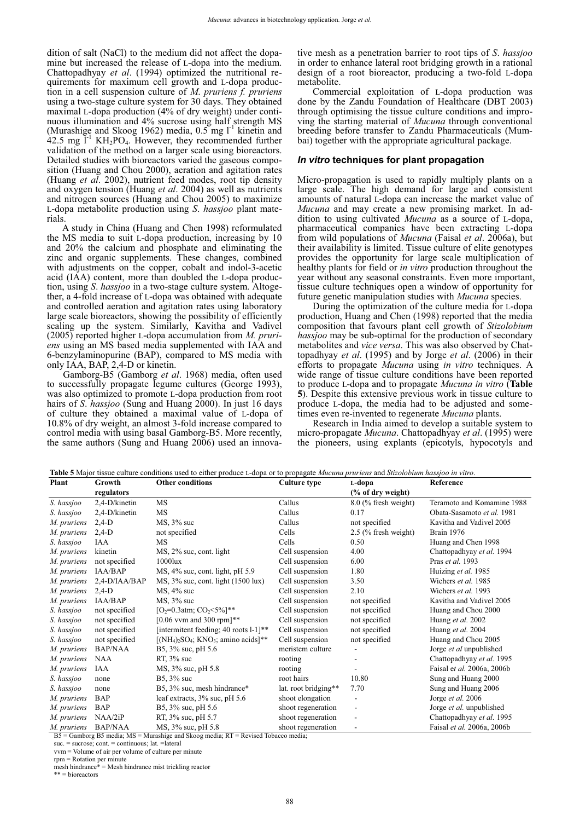dition of salt (NaCl) to the medium did not affect the dopamine but increased the release of L-dopa into the medium. Chattopadhyay *et al*. (1994) optimized the nutritional requirements for maximum cell growth and L-dopa production in a cell suspension culture of *M*. *pruriens f. pruriens* using a two-stage culture system for 30 days. They obtained maximal L-dopa production (4% of dry weight) under continuous illumination and 4% sucrose using half strength MS (Murashige and Skoog 1962) media,  $0.5$  mg  $l<sup>-1</sup>$  kinetin and  $42.5$  mg  $\tilde{l}$ <sup>1</sup> KH<sub>2</sub>PO<sub>4</sub>. However, they recommended further validation of the method on a larger scale using bioreactors. Detailed studies with bioreactors varied the gaseous composition (Huang and Chou 2000), aeration and agitation rates (Huang *et al*. 2002), nutrient feed modes, root tip density and oxygen tension (Huang *et al*. 2004) as well as nutrients and nitrogen sources (Huang and Chou 2005) to maximize L-dopa metabolite production using *S*. *hassjoo* plant materials.

A study in China (Huang and Chen 1998) reformulated the MS media to suit L-dopa production, increasing by 10 and 20% the calcium and phosphate and eliminating the zinc and organic supplements. These changes, combined with adjustments on the copper, cobalt and indol-3-acetic acid (IAA) content, more than doubled the L-dopa production, using *S*. *hassjoo* in a two-stage culture system. Altogether, a 4-fold increase of L-dopa was obtained with adequate and controlled aeration and agitation rates using laboratory large scale bioreactors, showing the possibility of efficiently scaling up the system. Similarly, Kavitha and Vadivel (2005) reported higher L-dopa accumulation from *M. pruriens* using an MS based media supplemented with IAA and 6-benzylaminopurine (BAP), compared to MS media with only IAA, BAP, 2,4-D or kinetin.

Gamborg-B5 (Gamborg *et al*. 1968) media, often used to successfully propagate legume cultures (George 1993), was also optimized to promote L-dopa production from root hairs of *S*. *hassjoo* (Sung and Huang 2000). In just 16 days of culture they obtained a maximal value of L-dopa of 10.8% of dry weight, an almost 3-fold increase compared to control media with using basal Gamborg-B5. More recently, the same authors (Sung and Huang 2006) used an innovative mesh as a penetration barrier to root tips of *S*. *hassjoo* in order to enhance lateral root bridging growth in a rational design of a root bioreactor, producing a two-fold L-dopa metabolite.

Commercial exploitation of L-dopa production was done by the Zandu Foundation of Healthcare (DBT 2003) through optimising the tissue culture conditions and improving the starting material of *Mucuna* through conventional breeding before transfer to Zandu Pharmaceuticals (Mumbai) together with the appropriate agricultural package.

#### *In vitro* **techniques for plant propagation**

Micro-propagation is used to rapidly multiply plants on a large scale. The high demand for large and consistent amounts of natural L-dopa can increase the market value of *Mucuna* and may create a new promising market. In addition to using cultivated *Mucuna* as a source of L-dopa, pharmaceutical companies have been extracting L-dopa from wild populations of *Mucuna* (Faisal *et al*. 2006a), but their availability is limited. Tissue culture of elite genotypes provides the opportunity for large scale multiplication of healthy plants for field or *in vitro* production throughout the year without any seasonal constraints. Even more important, tissue culture techniques open a window of opportunity for future genetic manipulation studies with *Mucuna* species.

During the optimization of the culture media for L-dopa production, Huang and Chen (1998) reported that the media composition that favours plant cell growth of *Stizolobium hassjoo* may be sub-optimal for the production of secondary metabolites and *vice versa*. This was also observed by Chattopadhyay *et al*. (1995) and by Jorge *et al*. (2006) in their efforts to propagate *Mucuna* using *in vitro* techniques. A wide range of tissue culture conditions have been reported to produce L-dopa and to propagate *Mucuna in vitro* (**Table 5**). Despite this extensive previous work in tissue culture to produce L-dopa, the media had to be adjusted and sometimes even re-invented to regenerate *Mucuna* plants.

Research in India aimed to develop a suitable system to micro-propagate *Mucuna*. Chattopadhyay *et al*. (1995) were the pioneers, using explants (epicotyls, hypocotyls and

**Plant Growth regulators Other conditions Culture type L-dopa (% of dry weight) Reference**  *S. hassjoo* 2,4-D/kinetin MS Callus 8.0 (% fresh weight) Teramoto and Komamine 1988 *S. hassjoo* 2,4-D/kinetin MS Callus 0.17 Obata-Sasamoto *et al.* 1981 *M. pruriens* 2,4-D MS, 3% suc Callus not specified Kavitha and Vadivel 2005 *M. pruriens* 2,4-D not specified Cells 2.5 (% fresh weight) Brain 1976 *S. hassjoo* IAA MS Cells 0.50 Huang and Chen 1998 *M. pruriens* kinetin MS, 2% suc, cont. light Cell suspension 4.00 Chattopadhyay *et al.* 1994 *M. pruriens* not specified 1000lux Cell suspension 6.00 Pras *et al.* 1993 *M. pruriens* IAA/BAP MS, 4% suc, cont. light, pH 5.9 Cell suspension 1.80 Huizing *et al.* 1985<br> *M. pruriens* 2,4-D/IAA/BAP MS, 3% suc, cont. light (1500 lux) Cell suspension 3.50 Wichers *et al.* 1985 *MS*,  $3\%$  suc, cont. light (1500 lux) Cell suspension 3.50 Wichers *et al.* 1985 *M. pruriens* 2,4-D MS, 4% suc Cell suspension 2.10 Wichers *et al.* 1993 *M. pruriens* IAA/BAP MS, 3% suc Cell suspension not specified Kavitha and Vadivel 2005 *S. hassjoo* not specified  $[O_2=0.3$ atm; CO<sub>2</sub><5%]<sup>\*\*</sup> Cell suspension not specified Huang and Chou 2000 *S. hassjoo* not specified [0.06 vvm and 300 rpm]\*\* Cell suspension not specified Huang *et al.* 2002 *S. hassjoo* not specified [intermitent feeding; 40 roots l-1]\*\* Cell suspension not specified Huang *et al.* 2004 *S. hassjoo* not specified  $[(NH_4)_2$ SO<sub>4</sub>; KNO<sub>3</sub>; amino acids]<sup>\*\*</sup> Cell suspension not specified Huang and Chou 2005 *M. pruriens* BAP/NAA B5, 3% suc, pH 5.6 meristem culture - Jorge *et al* unpublished *M. pruriens* BAP/NAA B5, 3% suc, pH 5.6 meristem culture - Jorge *et al* unpublished<br> *M. pruriens* NAA RT, 3% suc *M. pruriens* NAA RT, 3% suc rooting - Chattopadhyay *et al.* 1995<br> *M. pruriens* IAA MS, 3% suc, pH 5.8 rooting - Faisal *et al.* 2006a. 2006b *M. pruriens* IAA MS, 3% suc, pH 5.8 rooting - Faisal e*t al.* 2006a, 2006b *S. hassjoo* none B5, 3% suc root hairs 10.80 Sung and Huang 2000 *S. hassjoo* none B5, 3% suc, mesh hindrance\* lat. root bridging\*\* 7.70 Sung and Huang 2006 *M. pruriens* BAP leaf extracts, 3% suc, pH 5.6 shoot elongation - Jorge *et al.* 2006 *M. pruriens* BAP B5, 3% suc, pH 5.6 shoot regeneration - Jorge *et al.* unpublished *M. pruriens* NAA/2iP RT, 3% suc, pH 5.7 shoot regeneration - Chattopadhyay *et al.* 1995 *M. pruriens* BAP/NAA MS, 3% suc, pH 5.8 shoot regeneration - Faisal *et al.* 2006a, 2006b

**Table 5** Major tissue culture conditions used to either produce L-dopa or to propagate *Mucuna pruriens* and *Stizolobium hassjoo in vitro*.

 $\overline{B5}$  = Gamborg B5 media; MS = Murashige and Skoog media; RT = Revised Tobacco media;

suc. = sucrose; cont. = continuous; lat. =lateral

vvm = Volume of air per volume of culture per minute

rpm = Rotation per minute mesh hindrance\* = Mesh hindrance mist trickling reactor

\*\* = bioreactors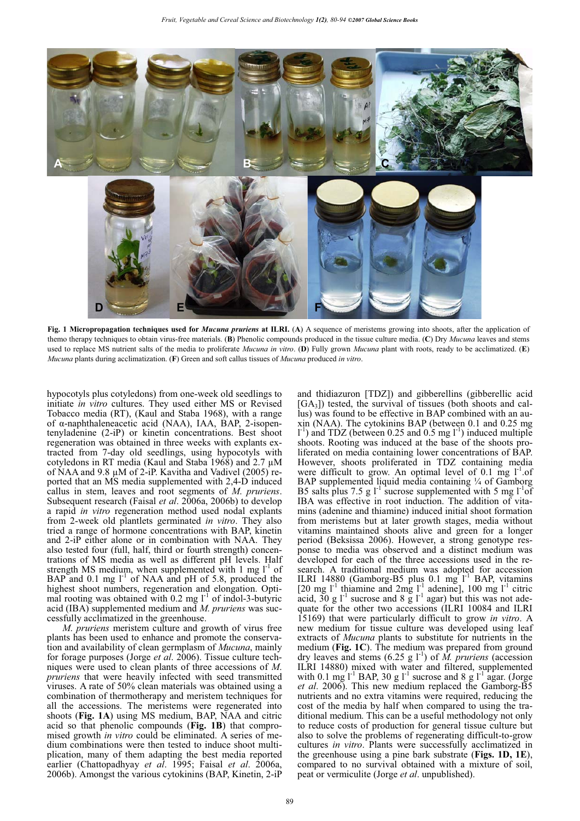

**Fig. 1 Micropropagation techniques used for** *Mucuna pruriens* **at ILRI.** (**A**) A sequence of meristems growing into shoots, after the application of themo therapy techniques to obtain virus-free materials. (**B**) Phenolic compounds produced in the tissue culture media. (**C**) Dry *Mucuna* leaves and stems used to replace MS nutrient salts of the media to proliferate *Mucuna in vitro*. (**D**) Fully grown *Mucuna* plant with roots, ready to be acclimatized. (**E**) *Mucuna* plants during acclimatization. (**F**) Green and soft callus tissues of *Mucuna* produced *in vitro*.

hypocotyls plus cotyledons) from one-week old seedlings to initiate *in vitro* cultures. They used either MS or Revised Tobacco media (RT), (Kaul and Staba 1968), with a range of α-naphthaleneacetic acid (NAA), IAA, BAP, 2-isopentenyladenine (2-iP) or kinetin concentrations. Best shoot regeneration was obtained in three weeks with explants extracted from 7-day old seedlings, using hypocotyls with cotyledons in RT media (Kaul and Staba 1968) and 2.7 μM of NAA and 9.8 μM of 2-iP. Kavitha and Vadivel (2005) reported that an MS media supplemented with 2,4-D induced callus in stem, leaves and root segments of *M*. *pruriens*. Subsequent research (Faisal *et al*. 2006a, 2006b) to develop a rapid *in vitro* regeneration method used nodal explants from 2-week old plantlets germinated *in vitro*. They also tried a range of hormone concentrations with BAP, kinetin and 2-iP either alone or in combination with NAA. They also tested four (full, half, third or fourth strength) concentrations of MS media as well as different pH levels. Half strength MS medium, when supplemented with 1 mg  $I<sup>-1</sup>$  of BAP and  $0.1 \text{ mg } 1^{-1}$  of NAA and pH of 5.8, produced the highest shoot numbers, regeneration and elongation. Optimal rooting was obtained with  $0.2$  mg  $1^{-1}$  of indol-3-butyric acid (IBA) supplemented medium and *M*. *pruriens* was successfully acclimatized in the greenhouse.

*M*. *pruriens* meristem culture and growth of virus free plants has been used to enhance and promote the conservation and availability of clean germplasm of *Mucuna*, mainly for forage purposes (Jorge *et al*. 2006). Tissue culture techniques were used to clean plants of three accessions of *M*. *pruriens* that were heavily infected with seed transmitted viruses. A rate of 50% clean materials was obtained using a combination of thermotherapy and meristem techniques for all the accessions. The meristems were regenerated into shoots (**Fig. 1A**) using MS medium, BAP, NAA and citric acid so that phenolic compounds (**Fig. 1B**) that compromised growth *in vitro* could be eliminated. A series of medium combinations were then tested to induce shoot multiplication, many of them adapting the best media reported earlier (Chattopadhyay *et al*. 1995; Faisal *et al*. 2006a, 2006b). Amongst the various cytokinins (BAP, Kinetin, 2-iP

and thidiazuron [TDZ]) and gibberellins (gibberellic acid  $[GA_3]$ ) tested, the survival of tissues (both shoots and callus) was found to be effective in BAP combined with an auxin (NAA). The cytokinins BAP (between 0.1 and 0.25 mg  $1^{-1}$ ) and TDZ (between 0.25 and 0.5 mg  $1^{-1}$ ) induced multiple shoots. Rooting was induced at the base of the shoots proliferated on media containing lower concentrations of BAP. However, shoots proliferated in TDZ containing media were difficult to grow. An optimal level of  $0.1 \text{ mg } l^{-1}$ .of BAP supplemented liquid media containing 1/4 of Gamborg B5 salts plus 7.5 g  $1^{-1}$  sucrose supplemented with 5 mg  $1^{-1}$  of IBA was effective in root induction. The addition of vitamins (adenine and thiamine) induced initial shoot formation from meristems but at later growth stages, media without vitamins maintained shoots alive and green for a longer period (Beksissa 2006). However, a strong genotype response to media was observed and a distinct medium was developed for each of the three accessions used in the research. A traditional medium was adopted for accession ILRI 14880 (Gamborg-B5 plus  $0.1 \text{ mg}^{-1}$  BAP, vitamins [20 mg  $1^{-1}$  thiamine and  $2mg 1^{-1}$  adenine], 100 mg  $1^{-1}$  citric acid,  $30 \text{ g } l^1$  sucrose and 8  $\text{g } l^1$  agar) but this was not adequate for the other two accessions (ILRI 10084 and ILRI 15169) that were particularly difficult to grow *in vitro*. A new medium for tissue culture was developed using leaf extracts of *Mucuna* plants to substitute for nutrients in the medium (**Fig. 1C**). The medium was prepared from ground dry leaves and stems  $(6.25 \text{ g l}^{-1})$  of  $\tilde{M}$ . pruriens (accession ILRI 14880) mixed with water and filtered, supplemented with 0.1 mg  $1^{-1}$  BAP, 30 g  $1^{-1}$  sucrose and 8 g  $1^{-1}$  agar. (Jorge *et al*. 2006). This new medium replaced the Gamborg-B5 nutrients and no extra vitamins were required, reducing the cost of the media by half when compared to using the traditional medium. This can be a useful methodology not only to reduce costs of production for general tissue culture but also to solve the problems of regenerating difficult-to-grow cultures *in vitro*. Plants were successfully acclimatized in the greenhouse using a pine bark substrate (**Figs. 1D, 1E**), compared to no survival obtained with a mixture of soil, peat or vermiculite (Jorge *et al*. unpublished).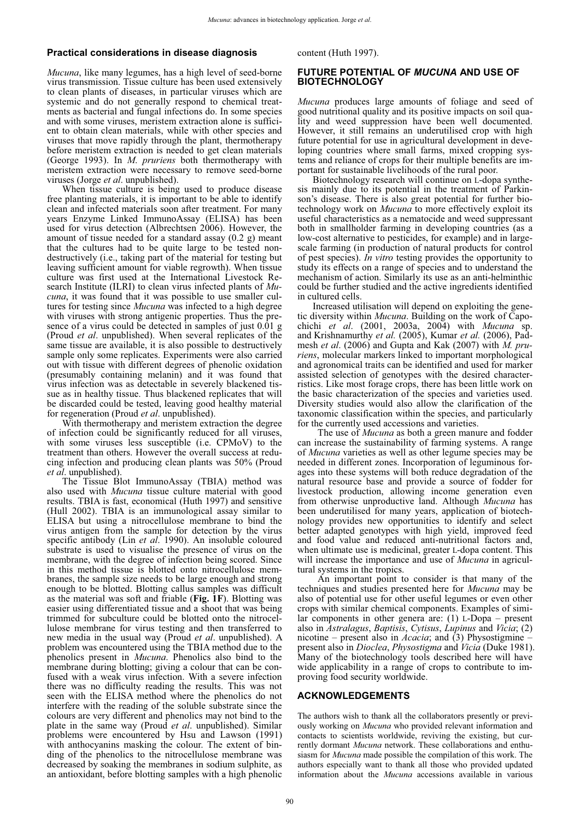#### **Practical considerations in disease diagnosis**

*Mucuna*, like many legumes, has a high level of seed-borne virus transmission. Tissue culture has been used extensively to clean plants of diseases, in particular viruses which are systemic and do not generally respond to chemical treatments as bacterial and fungal infections do. In some species and with some viruses, meristem extraction alone is sufficient to obtain clean materials, while with other species and viruses that move rapidly through the plant, thermotherapy before meristem extraction is needed to get clean materials (George 1993). In *M*. *pruriens* both thermotherapy with meristem extraction were necessary to remove seed-borne viruses (Jorge *et al*. unpublished).

When tissue culture is being used to produce disease free planting materials, it is important to be able to identify clean and infected materials soon after treatment. For many years Enzyme Linked ImmunoAssay (ELISA) has been used for virus detection (Albrechtsen 2006). However, the amount of tissue needed for a standard assay (0.2 g) meant that the cultures had to be quite large to be tested nondestructively (i.e., taking part of the material for testing but leaving sufficient amount for viable regrowth). When tissue culture was first used at the International Livestock Research Institute (ILRI) to clean virus infected plants of *Mucuna*, it was found that it was possible to use smaller cultures for testing since *Mucuna* was infected to a high degree with viruses with strong antigenic properties. Thus the presence of a virus could be detected in samples of just  $0.01$  g (Proud *et al*. unpublished). When several replicates of the same tissue are available, it is also possible to destructively sample only some replicates. Experiments were also carried out with tissue with different degrees of phenolic oxidation (presumably containing melanin) and it was found that virus infection was as detectable in severely blackened tissue as in healthy tissue. Thus blackened replicates that will be discarded could be tested, leaving good healthy material for regeneration (Proud *et al*. unpublished).

With thermotherapy and meristem extraction the degree of infection could be significantly reduced for all viruses, with some viruses less susceptible (i.e. CPMoV) to the treatment than others. However the overall success at reducing infection and producing clean plants was 50% (Proud *et al*. unpublished).

The Tissue Blot ImmunoAssay (TBIA) method was also used with *Mucuna* tissue culture material with good results. TBIA is fast, economical (Huth 1997) and sensitive (Hull 2002). TBIA is an immunological assay similar to ELISA but using a nitrocellulose membrane to bind the virus antigen from the sample for detection by the virus specific antibody (Lin *et al*. 1990). An insoluble coloured substrate is used to visualise the presence of virus on the membrane, with the degree of infection being scored. Since in this method tissue is blotted onto nitrocellulose membranes, the sample size needs to be large enough and strong enough to be blotted. Blotting callus samples was difficult as the material was soft and friable (**Fig. 1F**). Blotting was easier using differentiated tissue and a shoot that was being trimmed for subculture could be blotted onto the nitrocellulose membrane for virus testing and then transferred to new media in the usual way (Proud *et al*. unpublished). A problem was encountered using the TBIA method due to the phenolics present in *Mucuna*. Phenolics also bind to the membrane during blotting; giving a colour that can be confused with a weak virus infection. With a severe infection there was no difficulty reading the results. This was not seen with the ELISA method where the phenolics do not interfere with the reading of the soluble substrate since the colours are very different and phenolics may not bind to the plate in the same way (Proud *et al*. unpublished). Similar problems were encountered by Hsu and Lawson (1991) with anthocyanins masking the colour. The extent of binding of the phenolics to the nitrocellulose membrane was decreased by soaking the membranes in sodium sulphite, as an antioxidant, before blotting samples with a high phenolic

content (Huth 1997).

#### **FUTURE POTENTIAL OF** *MUCUNA* **AND USE OF BIOTECHNOLOGY**

*Mucuna* produces large amounts of foliage and seed of good nutritional quality and its positive impacts on soil quality and weed suppression have been well documented. However, it still remains an underutilised crop with high future potential for use in agricultural development in developing countries where small farms, mixed cropping systems and reliance of crops for their multiple benefits are important for sustainable livelihoods of the rural poor.

Biotechnology research will continue on L-dopa synthesis mainly due to its potential in the treatment of Parkinson's disease. There is also great potential for further biotechnology work on *Mucuna* to more effectively exploit its useful characteristics as a nematocide and weed suppressant both in smallholder farming in developing countries (as a low-cost alternative to pesticides, for example) and in largescale farming (in production of natural products for control of pest species). *In vitro* testing provides the opportunity to study its effects on a range of species and to understand the mechanism of action. Similarly its use as an anti-helminthic could be further studied and the active ingredients identified in cultured cells.

Increased utilisation will depend on exploiting the genetic diversity within *Mucuna*. Building on the work of Capochichi *et al*. (2001, 2003a, 2004) with *Mucuna* sp. and Krishnamurthy *et al.* (2005), Kumar *et al.* (2006), Padmesh *et al*. (2006) and Gupta and Kak (2007) with *M. pruriens*, molecular markers linked to important morphological and agronomical traits can be identified and used for marker assisted selection of genotypes with the desired characterristics. Like most forage crops, there has been little work on the basic characterization of the species and varieties used. Diversity studies would also allow the clarification of the taxonomic classification within the species, and particularly for the currently used accessions and varieties.

 The use of *Mucuna* as both a green manure and fodder can increase the sustainability of farming systems. A range of *Mucuna* varieties as well as other legume species may be needed in different zones. Incorporation of leguminous forages into these systems will both reduce degradation of the natural resource base and provide a source of fodder for livestock production, allowing income generation even from otherwise unproductive land. Although *Mucuna* has been underutilised for many years, application of biotechnology provides new opportunities to identify and select better adapted genotypes with high yield, improved feed and food value and reduced anti-nutritional factors and, when ultimate use is medicinal, greater L-dopa content. This will increase the importance and use of *Mucuna* in agricultural systems in the tropics.

 An important point to consider is that many of the techniques and studies presented here for *Mucuna* may be also of potential use for other useful legumes or even other crops with similar chemical components. Examples of similar components in other genera are: (1) L-Dopa – present also in *Astralagus*, *Baptisis*, *Cytisus*, *Lupinus* and *Vicia*; (2) nicotine – present also in *Acacia*; and (3) Physostigmine – present also in *Dioclea*, *Physostigma* and *Vicia* (Duke 1981). Many of the biotechnology tools described here will have wide applicability in a range of crops to contribute to improving food security worldwide.

#### **ACKNOWLEDGEMENTS**

The authors wish to thank all the collaborators presently or previously working on *Mucuna* who provided relevant information and contacts to scientists worldwide, reviving the existing, but currently dormant *Mucuna* network. These collaborations and enthusiasm for *Mucuna* made possible the compilation of this work. The authors especially want to thank all those who provided updated information about the *Mucuna* accessions available in various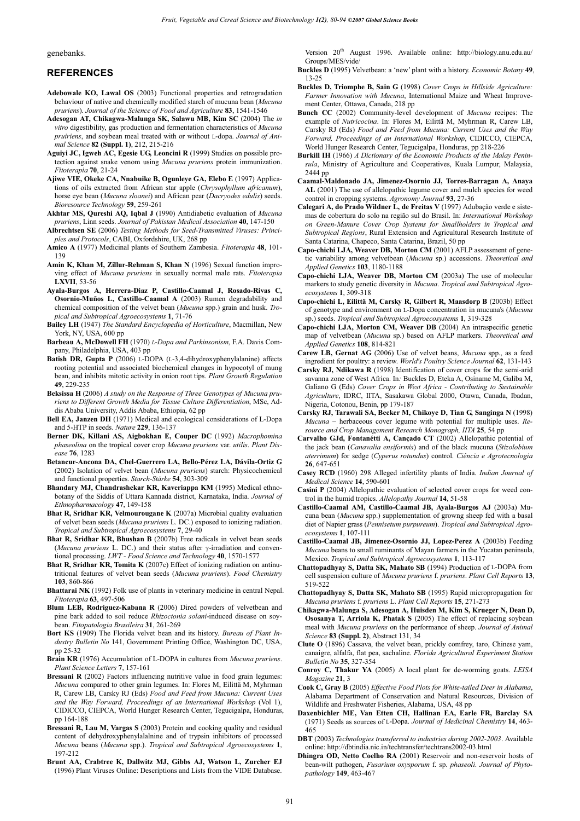#### genebanks.

#### **REFERENCES**

- **Adebowale KO, Lawal OS** (2003) Functional properties and retrogradation behaviour of native and chemically modified starch of mucuna bean (*Mucuna pruriens*). *Journal of the Science of Food and Agriculture* **83**, 1541-1546
- **Adesogan AT, Chikagwa-Malunga SK, Salawu MB, Kim SC** (2004) The *in vitro* digestibility, gas production and fermentation characteristics of *Mucuna pruiriens*, and soybean meal treated with or without L-dopa. *Journal of Animal Science* **82 (Suppl. 1)**, 212, 215-216
- **Aguiyi JC, Igweh AC, Egesie UG, Leoncini R** (1999) Studies on possible protection against snake venom using *Mucuna pruriens* protein immunization. *Fitoterapia* **70**, 21-24
- **Ajiwe VIE, Okeke CA, Nnabuike B, Ogunleye GA, Elebo E** (1997) Applications of oils extracted from African star apple (*Chrysophyllum africanum*), horse eye bean (*Mucuna sloanei*) and African pear (*Dacryodes edulis*) seeds. *Bioresource Technology* **59**, 259-261
- **Akhtar MS, Qureshi AQ, Iqbal J** (1990) Antidiabetic evaluation of *Mucuna pruriens*, Linn seeds. *Journal of Pakistan Medical Association* **40**, 147-150
- **Albrechtsen SE** (2006) *Testing Methods for Seed-Transmitted Viruses: Principles and Protocols*, CABI, Oxfordshire, UK, 268 pp
- **Amico A** (1977) Medicinal plants of Southern Zambesia. *Fitoterapia* **48**, 101- 139
- **Amin K, Khan M, Zillur-Rehman S, Khan N** (1996) Sexual function improving effect of *Mucuna pruriens* in sexually normal male rats. *Fitoterapia* **LXVII**, 53-56
- **Ayala-Burgos A, Herrera-Diaz P, Castillo-Caamal J, Rosado-Rivas C, Osornio-Muños L, Castillo-Caamal A** (2003) Rumen degradability and chemical composition of the velvet bean (*Mucuna* spp.) grain and husk. *Tropical and Subtropical Agroecosystems* **1**, 71-76
- **Bailey LH** (1947) *The Standard Encyclopedia of Horticulture*, Macmillan, New York, NY, USA, 600 pp

**Barbeau A, McDowell FH** (1970) *L*-*Dopa and Parkinsonism*, F.A. Davis Company, Philadelphia, USA, 403 pp

- **Batish DR, Gupta P** (2006) L-DOPA (L-3,4-dihydroxyphenylalanine) affects rooting potential and associated biochemical changes in hypocotyl of mung bean, and inhibits mitotic activity in onion root tips. *Plant Growth Regulation* **49**, 229-235
- **Beksissa H** (2006) *A study on the Response of Three Genotypes of Mucuna pruriens to Different Growth Media for Tissue Culture Differentiation*, MSc, Addis Ababa University, Addis Ababa, Ethiopia, 62 pp
- **Bell EA, Janzen DH** (1971) Medical and ecological considerations of L-Dopa and 5-HTP in seeds. *Nature* **229**, 136-137
- **Berner DK, Killani AS, Aigbokhan E, Couper DC** (1992) *Macrophomina phaseolina* on the tropical cover crop *Mucuna pruriens* var. *utilis*. *Plant Disease* **76**, 1283
- **Betancur-Ancona DA, Chel-Guerrero LA, Bello-Pérez LA, Dávila-Ortiz G** (2002) Isolation of velvet bean (*Mucuna pruriens*) starch: Physicochemical and functional properties. *Starch-Stärke* **54**, 303-309
- **Bhandary MJ, Chandrashekar KR, Kaveriappa KM** (1995) Medical ethnobotany of the Siddis of Uttara Kannada district, Karnataka, India. *Journal of Ethnopharmacology* **47**, 149-158
- **Bhat R, Sridhar KR, Velmourougane K** (2007a) Microbial quality evaluation of velvet bean seeds (*Mucuna pruriens* L. DC.) exposed to ionizing radiation. *Tropical and Subtropical Agroecosystems* **7**, 29-40
- **Bhat R, Sridhar KR, Bhushan B** (2007b) Free radicals in velvet bean seeds (*Mucuna pruriens* L. DC.) and their status after  $\gamma$ -irradiation and conventional processing. *LWT - Food Science and Technology* **40**, 1570-1577
- **Bhat R, Sridhar KR, Tomita K** (2007c) Effect of ionizing radiation on antinutritional features of velvet bean seeds (*Mucuna pruriens*). *Food Chemistry* **103**, 860-866
- **Bhattarai NK** (1992) Folk use of plants in veterinary medicine in central Nepal. *Fitoterapia* **63**, 497-506
- **Blum LEB, Rodriguez-Kabana R** (2006) Dired powders of velvetbean and pine bark added to soil reduce *Rhizoctonia solani*-induced disease on soybean. *Fitopatologia Brasileira* **31**, 261-269
- **Bort KS** (1909) The Florida velvet bean and its history. *Bureau of Plant Industry Bulletin No* 141, Government Printing Office, Washington DC, USA, pp 25-32
- **Brain KR** (1976) Accumulation of L-DOPA in cultures from *Mucuna pruriens*. *Plant Science Letters* **7**, 157-161
- **Bressani R** (2002) Factors influencing nutritive value in food grain legumes: *Mucuna* compared to other grain legumes. In: Flores M, Eilittä M, Myhrman R, Carew LB, Carsky RJ (Eds) *Food and Feed from Mucuna: Current Uses and the Way Forward, Proceedings of an International Workshop* (Vol 1), CIDICCO, CIEPCA, World Hunger Research Center, Tegucigalpa, Honduras, pp 164-188
- **Bressani R, Lau M, Vargas S** (2003) Protein and cooking quality and residual content of dehydroxyphenylalalnine and of trypsin inhibitors of processed *Mucuna* beans (*Mucuna* spp.). *Tropical and Subtropical Agroecosystems* **1**, 197-212
- **Brunt AA, Crabtree K, Dallwitz MJ, Gibbs AJ, Watson L, Zurcher EJ** (1996) Plant Viruses Online: Descriptions and Lists from the VIDE Database.

Version  $20^{th}$  August 1996. Available online: http://biology.anu.edu.au/ Groups/MES/vide/

- **Buckles D** (1995) Velvetbean: a 'new' plant with a history. *Economic Botany* **49**, 13-25
- **Buckles D, Triomphe B, Sain G** (1998) *Cover Crops in Hillside Agriculture: Farmer Innovation with Mucuna*, International Maize and Wheat Improvement Center, Ottawa, Canada, 218 pp
- **Bunch CC** (2002) Community-level development of *Mucuna* recipes: The example of *Nutricocina*. In: Flores M, Eilittä M, Myhrman R, Carew LB, Carsky RJ (Eds) *Food and Feed from Mucuna: Current Uses and the Way Forward, Proceedings of an International Workshop*, CIDICCO, CIEPCA, World Hunger Research Center, Tegucigalpa, Honduras, pp 218-226
- **Burkill IH** (1966) *A Dictionary of the Economic Products of the Malay Peninsula*, Ministry of Agriculture and Cooperatives, Kuala Lumpur, Malaysia, 2444 pp
- **Caamal-Maldonado JA, Jimenez-Osornio JJ, Torres-Barragan A, Anaya AL** (2001) The use of allelopathic legume cover and mulch species for weed control in cropping systems. *Agronomy Journal* **93**, 27-36
- **Calegari A, do Prado Wildner L, de Freitas V** (1997) Adubação verde e sistemas de cobertura do solo na região sul do Brasil. In: *International Workshop on Green-Manure Cover Crop Systems for Smallholders in Tropical and Subtropical Regions*, Rural Extension and Agricultural Research Institute of Santa Catarina, Chapeco, Santa Catarina, Brazil, 50 pp
- **Capo-chichi LJA, Weaver DB, Morton CM** (2001) AFLP assessment of genetic variability among velvetbean (*Mucuna* sp.) accessions. *Theoretical and Applied Genetics* **103**, 1180-1188
- **Capo-chichi LJA, Weaver DB, Morton CM** (2003a) The use of molecular markers to study genetic diversity in *Mucuna*. *Tropical and Subtropical Agroecosystems* **1**, 309-318
- **Capo-chichi L, Eilittä M, Carsky R, Gilbert R, Maasdorp B** (2003b) Effect of genotype and environment on L-Dopa concentration in mucuna's (*Mucuna* sp.) seeds. *Tropical and Subtropical Agroecosystems* **1**, 319-328
- **Capo-chichi LJA, Morton CM, Weaver DB** (2004) An intraspecific genetic map of velvetbean (*Mucuna* sp.) based on AFLP markers. *Theoretical and Applied Genetics* **108**, 814-821
- **Carew LB, Gernat AG** (2006) Use of velvet beans, *Mucuna* spp., as a feed ingredient for poultry: a review. *World's Poultry Science Journal* **62**, 131-143
- **Carsky RJ, Ndikawa R** (1998) Identification of cover crops for the semi-arid savanna zone of West Africa. In*:* Buckles D, Eteka A, Osiname M, Galiba M, Galiano G (Eds) *Cover Crops in West Africa - Contributing to Sustainable Agriculture*, IDRC, IITA, Sasakawa Global 2000, Otawa, Canada, Ibadan, Nigeria, Cotonou, Benin, pp 179-187
- **Carsky RJ, Tarawali SA, Becker M, Chikoye D, Tian G, Sanginga N** (1998) *Mucuna* – herbaceous cover legume with potential for multiple uses. *Resource and Crop Management Research Monograph, IITA* **25**, 54 pp
- **Carvalho GJd, Fontanétti A, Cançado CT** (2002) Allelopathic potential of the jack bean (*Canavalia ensiformis*) and of the black mucuna (*Stizolobium aterrimum*) for sedge (*Cyperus rotundus*) control. *Ciência e Agrotecnologia* **26**, 647-651
- **Casey RCD** (1960) 298 Alleged infertility plants of India. *Indian Journal of Medical Science* **14**, 590-601
- **Casini P** (2004) Allelopathic evaluation of selected cover crops for weed control in the humid tropics. *Allelopathy Journal* **14**, 51-58
- **Castillo-Caamal AM, Castillo-Caamal JB, Ayala-Burgos AJ** (2003a) Mucuna bean (*Mucuna* spp.) supplementation of growng sheep fed with a basal diet of Napier grass (*Pennisetum purpureum*). *Tropical and Subtropical Agroecosystems* **1**, 107-111
- **Castillo-Caamal JB, Jimenez-Osornio JJ, Lopez-Perez A** (2003b) Feeding *Mucuna* beans to small ruminants of Mayan farmers in the Yucatan peninsula, Mexico. *Tropical and Subtropical Agroecosystems* **1**, 113-117
- **Chattopadhyay S, Datta SK, Mahato SB** (1994) Production of L-DOPA from cell suspension culture of *Mucuna pruriens* f. *pruriens*. *Plant Cell Reports* **13**, 519-522
- **Chattopadhyay S, Datta SK, Mahato SB** (1995) Rapid micropropagation for *Mucuna pruriens* f. *pruriens* L. *Plant Cell Reports* **15**, 271-273
- **Chikagwa-Malunga S, Adesogan A, Huisden M, Kim S, Krueger N, Dean D, Ososanya T, Arriola K, Phatak S** (2005) The effect of replacing soybean meal with *Mucuna pruriens* on the performance of sheep. *Journal of Animal Science* **83 (Suppl. 2)**, Abstract 131, 34
- **Clute O** (1896) Cassava, the velvet bean, prickly comfrey, taro, Chinese yam, canaigre, alfalfa, flat pea, sachaline. *Florida Agricultural Experiment Station Bulletin No* **35**, 327-354
- **Conroy C, Thakur YA** (2005) A local plant for de-worming goats. *LEISA Magazine* **21**, 3
- **Cook C, Gray B** (2005) *Effective Food Plots for White-tailed Deer in Alabama*, Alabama Department of Conservation and Natural Resources, Division of Wildlife and Freshwater Fisheries, Alabama, USA, 48 pp
- **Daxenbichler ME, Van Etten CH, Hallinan EA, Earle FR, Barclay SA** (1971) Seeds as sources of L-Dopa. *Journal of Medicinal Chemistry* **14**, 463- 465
- **DBT** (2003) *Technologies transferred to industries during 2002-2003*. Available online: http://dbtindia.nic.in/techtransfer/techtrans2002-03.html
- **Dhingra OD, Netto Coelho RA** (2001) Reservoir and non-reservoir hosts of bean-wilt pathogen, *Fusarium oxysporum* f. sp. *phaseoli*. *Journal of Phytopathology* **149**, 463-467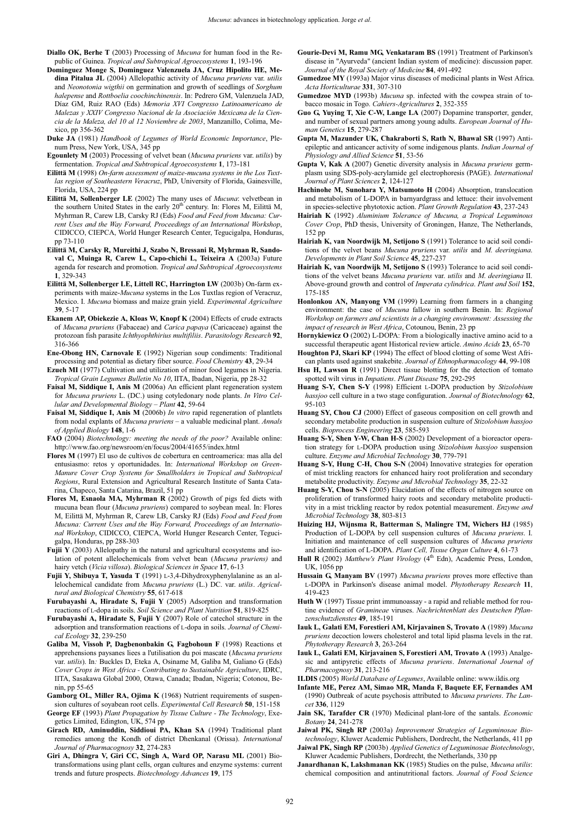- **Diallo OK, Berhe T** (2003) Processing of *Mucuna* for human food in the Republic of Guinea. *Tropical and Subtropical Agroecosystems* **1**, 193-196
- **Dominguez Monge S, Dominguez Valenzuela JA, Cruz Hipolito HE, Medina Pitalua JL** (2004) Allelopathic activity of *Mucuna pruriens* var. *utilis* and *Neonotonia wigthii* on germination and growth of seedlings of *Sorghum halepense* and *Rottboelia coochinchinensis*. In: Pedrero GM, Valenzuela JAD, Díaz GM, Ruiz RAO (Eds) *Memoria XVI Congresso Latinoamericano de Malezas y XXIV Congresso Nacional de la Asociación Mexicana de la Ciencia de la Maleza, del 10 al 12 Noviembre de 2003*, Manzanillo, Colima, Mexico, pp 356-362
- **Duke JA** (1981) *Handbook of Legumes of World Economic Importance*, Plenum Press, New York, USA, 345 pp
- **Egounlety M** (2003) Processing of velvet bean (*Mucuna pruriens* var. *utilis*) by fermentation. *Tropical and Subtropical Agroecosystems* **1**, 173-181
- **Eilittä M** (1998) *On-farm assessment of maize-mucuna systems in the Los Tuxtlas region of Southeastern Veracruz*, PhD, University of Florida, Gainesville, Florida, USA, 224 pp
- **Eilittä M, Sollenberger LE** (2002) The many uses of *Mucuna*: velvetbean in the southern United States in the early 20<sup>th</sup> century. In: Flores M, Eilittä M, Myhrman R, Carew LB, Carsky RJ (Eds) *Food and Feed from Mucuna: Current Uses and the Way Forward, Proceedings of an International Workshop*, CIDICCO, CIEPCA, World Hunger Research Center, Tegucigalpa, Honduras, pp 73-110
- **Eilittä M, Carsky R, Mureithi J, Szabo N, Bressani R, Myhrman R, Sandoval C, Muinga R, Carew L, Capo-chichi L, Teixeira A** (2003a) Future agenda for research and promotion. *Tropical and Subtropical Agroecosystems* **1**, 329-343
- **Eilittä M, Sollenberger LE, Littell RC, Harrington LW** (2003b) On-farm experiments with maize-*Mucuna* systems in the Los Tuxtlas region of Veracruz, Mexico. I. *Mucuna* biomass and maize grain yield. *Experimental Agriculture* **39**, 5-17
- **Ekanem AP, Obiekezie A, Kloas W, Knopf K** (2004) Effects of crude extracts of *Mucuna pruriens* (Fabaceae) and *Carica papaya* (Caricaceae) against the protozoan fish parasite *Ichthyophthirius multifiliis*. *Parasitology Research* **92**, 316-366
- **Ene-Obong HN, Carnovale E** (1992) Nigerian soup condiments: Traditional processing and potential as dietary fiber source. *Food Chemistry* **43**, 29-34
- **Ezueh MI** (1977) Cultivation and utilization of minor food legumes in Nigeria. *Tropical Grain Legumes Bulletin No 10*, IITA, Ibadan, Nigeria, pp 28-32
- **Faisal M, Siddique I, Anis M** (2006a) An efficient plant regeneration system for *Mucuna pruriens* L. (DC.) using cotyledonary node plants. *In Vitro Cellular and Developmental Biology* – *Plant* **42**, 59-64
- **Faisal M, Siddique I, Anis M** (2006b) *In vitro* rapid regeneration of plantlets from nodal explants of *Mucuna pruriens* – a valuable medicinal plant. *Annals of Applied Biology* **148**, 1-6
- **FAO** (2004) *Biotechnology: meeting the needs of the poor?* Available online: http://www.fao.org/newsroom/en/focus/2004/41655/index.html
- **Flores M** (1997) El uso de cultivos de cobertura en centroamerica: mas alla del entusiasmo: retos y oportunidades. In: *International Workshop on Green-Manure Cover Crop Systems for Smallholders in Tropical and Subtropical Regions*, Rural Extension and Agricultural Research Institute of Santa Catarina, Chapeco, Santa Catarina, Brazil, 51 pp
- **Flores M, Esnaola MA, Myhrman R** (2002) Growth of pigs fed diets with mucuna bean flour (*Mucuna pruriens*) compared to soybean meal. In: Flores M, Eilittä M, Myhrman R, Carew LB, Carsky RJ (Eds) *Food and Feed from Mucuna: Current Uses and the Way Forward, Proceedings of an International Workshop*, CIDICCO, CIEPCA, World Hunger Research Center, Tegucigalpa, Honduras, pp 288-303
- **Fujii Y** (2003) Allelopathy in the natural and agricultural ecosystems and isolation of potent allelochemicals from velvet bean (*Mucuna pruriens)* and hairy vetch (*Vicia villosa*). *Biological Sciences in Space* **17**, 6-13
- **Fujii Y, Shibuya T, Yasuda T** (1991) L-3,4-Dihydroxyphenylalanine as an allelochemical candidate from *Mucuna pruriens* (L.) DC. var. *utilis*. *Agricultural and Biological Chemistry* **55**, 617-618
- **Furubayashi A, Hiradate S, Fujii Y** (2005) Adsorption and transformation reactions of L-dopa in soils. *Soil Science and Plant Nutrition* **51**, 819-825
- **Furubayashi A, Hiradate S, Fujii Y** (2007) Role of catechol structure in the adsorption and transformation reactions of L-dopa in soils. *Journal of Chemical Ecology* **32**, 239-250
- **Galiba M, Vissoh P, Dagbenonbakin G, Fagbohoun F** (1998) Reactions et apprehensions paysanes liees a l'utilisation du poi mascate (*Mucuna pruriens*  var. *utilis*). In*:* Buckles D, Eteka A, Osiname M, Galiba M, Galiano G (Eds) *Cover Crops in West Africa - Contributing to Sustainable Agriculture*, IDRC, IITA, Sasakawa Global 2000, Otawa, Canada; Ibadan, Nigeria; Cotonou, Benin, pp 55-65
- **Gamborg OL, Miller RA, Ojima K** (1968) Nutrient requirements of suspension cultures of soyabean root cells. *Experimental Cell Research* **50**, 151-158
- **George EF** (1993) *Plant Propagation by Tissue Culture The Technology*, Exegetics Limited, Edington, UK, 574 pp
- **Girach RD, Aminuddin, Siddioui PA, Khan SA** (1994) Traditional plant remedies among the Kondh of district Dhenkanal (Orissa). *International Journal of Pharmacognosy* **32**, 274-283
- **Giri A, Dhingra V, Giri CC, Singh A, Ward OP, Narasu ML** (2001) Biotransformations using plant cells, organ cultures and enzyme systems: current trends and future prospects. *Biotechnology Advances* **19**, 175
- **Gourie-Devi M, Ramu MG, Venkataram BS** (1991) Treatment of Parkinson's disease in "Ayurveda" (ancient Indian system of medicine): discussion paper. *Journal of the Royal Society of Medicine* **84**, 491-492
- **Gumedzoe MY** (1993a) Major virus diseases of medicinal plants in West Africa. *Acta Horticulturae* **331**, 307-310
- **Gumedzoe MYD** (1993b) *Mucuna* sp. infected with the cowpea strain of tobacco mosaic in Togo. *Cahiers-Agricultures* **2**, 352-355
- **Guo G, Yuying T, Xie C-W, Lange LA** (2007) Dopamine transporter, gender, and number of sexual partners among young adults. *European Journal of Human Genetics* **15**, 279-287
- **Gupta M, Mazunder UK, Chakraborti S, Rath N, Bhawal SR** (1997) Antiepileptic and anticancer activity of some indigenous plants. *Indian Journal of Physiology and Allied Science* **51**, 53-56
- **Gupta V, Kak A** (2007) Genetic diversity analysis in *Mucuna pruriens* germplasm using SDS-poly-acrylamide gel electrophoresis (PAGE). *International Journal of Plant Sciences* **2**, 124-127
- **Hachinohe M, Sunohara Y, Matsumoto H** (2004) Absorption, translocation and metabolism of L-DOPA in barnyardgrass and lettuce: their involvement in species-selective phytotoxic action. *Plant Growth Regulation* **43**, 237-243
- **Hairiah K** (1992) *Aluminium Tolerance of Mucuna, a Tropical Leguminous Cover Crop*, PhD thesis, University of Groningen, Hanze, The Netherlands, 152 pp
- **Hairiah K, van Noordwijk M, Setijono S** (1991) Tolerance to acid soil conditions of the velvet beans *Mucuna pruriens* var. *utilis* and *M*. *deeringiana*. *Developments in Plant Soil Science* **45**, 227-237
- **Hairiah K, van Noordwijk M, Setijono S** (1993) Tolerance to acid soil conditions of the velvet beans *Mucuna pruriens* var. *utilis* and *M*. *deeringiana* II. Above-ground growth and control of *Imperata cylindrica*. *Plant and Soil* **152**, 175-185
- **Honlonkou AN, Manyong VM** (1999) Learning from farmers in a changing environment: the case of *Mucuna* fallow in southern Benin. In: *Regional Workshop on farmers and scientists in a changing environment: Assessing the impact of research in West Africa*, Cotounou, Benin, 23 pp
- **Hornykiewicz O** (2002) L-DOPA: From a biologically inactive amino acid to a successful therapeutic agent Historical review article. *Amino Acids* **23**, 65-70 **Houghton PJ, Skari KP** (1994) The effect of blood clotting of some West Afri-
- can plants used against snakebite. *Journal of Ethnopharmacology* **44**, 99-108 **Hsu H, Lawson R** (1991) Direct tissue blotting for the detection of tomato
- spotted wilt virus in *Impatiens*. *Plant Disease* **75**, 292-295
- **Huang S-Y, Chen S-Y** (1998) Efficient L-DOPA production by *Stizolobium hassjoo* cell culture in a two stage configuration. *Journal of Biotechnology* **62**, 95-103
- **Huang SY, Chou CJ** (2000) Effect of gaseous composition on cell growth and secondary metabolite production in suspension culture of *Stizolobium hassjoo* cells. *Bioprocess Engineering* **23**, 585-593
- **Huang S-Y, Shen Y-W, Chan H-S** (2002) Development of a bioreactor operation strategy for L-DOPA production using *Stizolobium hassjoo* suspension culture. *Enzyme and Microbial Technology* **30**, 779-791
- **Huang S-Y, Hung C-H, Chou S-N** (2004) Innovative strategies for operation of mist trickling reactors for enhanced hairy root proliferation and secondary metabolite productivity. *Enzyme and Microbial Technology* **35**, 22-32
- **Huang S-Y, Chou S-N** (2005) Elucidation of the effects of nitrogen source on proliferation of transformed hairy roots and secondary metabolite productivity in a mist trickling reactor by redox potential measurement. *Enzyme and Microbial Technology* **38**, 803-813
- **Huizing HJ, Wijnsma R, Batterman S, Malingre TM, Wichers HJ** (1985) Production of L-DOPA by cell suspension cultures of *Mucuna pruriens*. I. Initiation and maintenance of cell suspension cultures of *Mucuna pruriens* and identification of L-DOPA. *Plant Cell, Tissue Organ Culture* **4**, 61-73
- Hull R (2002) *Matthew's Plant Virology* (4<sup>th</sup> Edn), Academic Press, London, UK 1056 pp
- **Hussain G, Manyam BV** (1997) *Mucuna pruriens* proves more effective than L-DOPA in Parkinson's disease animal model. *Phytotherapy Research* **11**, 419-423
- **Huth W** (1997) Tissue print immunoassay a rapid and reliable method for routine evidence of *Gramineae* viruses. *Nachrichtenblatt des Deutschen Pflanzenschutzdienstes* **49**, 185-191
- **Iauk L, Galati EM, Forestieri AM, Kirjavainen S, Trovato A** (1989) *Mucuna pruriens* decoction lowers cholesterol and total lipid plasma levels in the rat. *Phytotherapy Research* **3**, 263-264
- **Iauk L, Galati EM, Kirjavainen S, Forestieri AM, Trovato A** (1993) Analgesic and antipyretic effects of *Mucuna pruriens*. *International Journal of Pharmacognosy* **31**, 213-216
- **ILDIS** (2005) *World Database of Legumes*, Available online: www.ildis.org
- **Infante ME, Perez AM, Simao MR, Manda F, Baquete EF, Fernandes AM** (1990) Outbreak of acute psychosis attributed to *Mucuna pruriens*. *The Lancet* **336**, 1129
- **Jain SK, Tarafder CR** (1970) Medicinal plant-lore of the santals. *Economic Botany* **24**, 241-278
- **Jaiwal PK, Singh RP** (2003a) *Improvement Strategies of Leguminosae Biotechnology*, Kluwer Academic Publishers, Dordrecht, the Netherlands, 411 pp
- **Jaiwal PK, Singh RP** (2003b) *Applied Genetics of Leguminosae Biotechnology*, Kluwer Academic Publishers, Dordrecht, the Netherlands, 330 pp
- **Janardhanan K, Lakshmanan KK** (1985) Studies on the pulse, *Mucuna utilis*: chemical composition and antinutritional factors. *Journal of Food Science*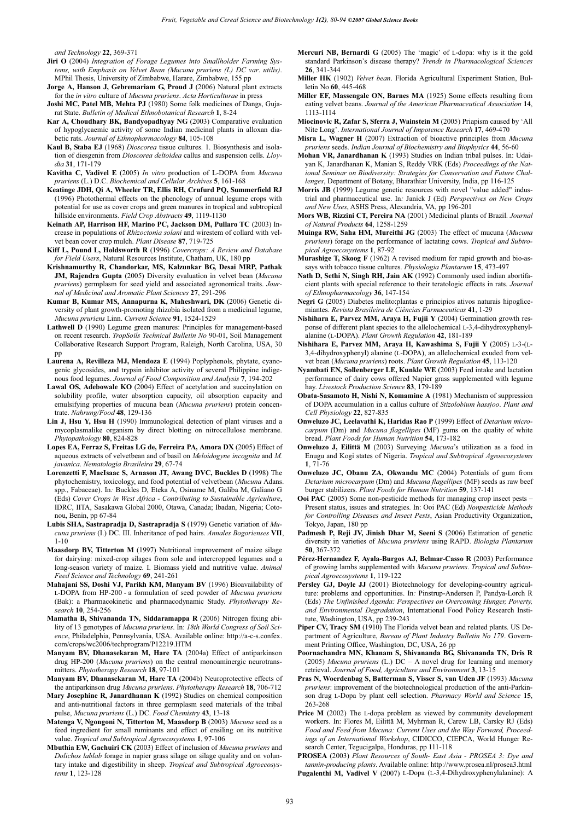*and Technology* **22**, 369-371

- **Jiri O** (2004) *Integration of Forage Legumes into Smallholder Farming Systems, with Emphasis on Velvet Bean (Mucuna pruriens (L) DC var*. *utilis)*. MPhil Thesis, University of Zimbabwe, Harare, Zimbabwe, 155 pp
- **Jorge A, Hanson J, Gebremariam G, Proud J** (2006) Natural plant extracts for the *in vitro* culture of *Mucuna pruriens*. *Acta Horticulturae* in press
- **Joshi MC, Patel MB, Mehta PJ** (1980) Some folk medicines of Dangs, Gujarat State. *Bulletin of Medical Ethnobotanical Research* **1**, 8-24
- **Kar A, Choudhary BK, Bandyopadhyay NG** (2003) Comparative evaluation of hypoglycaemic activity of some Indian medicinal plants in alloxan diabetic rats. *Journal of Ethnopharmacology* **84**, 105-108
- **Kaul B, Staba EJ** (1968) *Dioscorea* tissue cultures. 1. Biosynthesis and isolation of diesgenin from *Dioscorea deltoidea* callus and suspension cells. *Lloydia* **31**, 171-179
- **Kavitha C, Vadivel E** (2005) *In vitro* production of L-DOPA from *Mucuna pruriens* (L.) D.C. *Biochemical and Cellular Archives* **5**, 161-168
- **Keatinge JDH, Qi A, Wheeler TR, Ellis RH, Crufurd PQ, Summerfield RJ** (1996) Photothermal effects on the phenology of annual legume crops with potential for use as cover crops and green manures in tropical and subtropical hillside environments. *Field Crop Abstracts* **49**, 1119-1130
- **Keinath AP, Harrison HF, Marino PC, Jackson DM, Pullaro TC** (2003) Increase in populations of *Rhizoctonia solani* and wirestem of collard with velvet bean cover crop mulch. *Plant Disease* **87**, 719-725
- **Kiff L, Pound L, Holdsworth R** (1996) *Covercrops: A Review and Database for Field Users*, Natural Resources Institute, Chatham, UK, 180 pp
- **Krishnamurthy R, Chandorkar, MS, Kalzunkar BG, Desai MRP, Pathak JM, Rajendra Gupta** (2005) Diversity evaluation in velvet bean (*Mucuna pruriens*) germplasm for seed yield and associated agronomical traits. *Journal of Medicinal and Aromatic Plant Sciences* **27**, 291-296
- **Kumar B, Kumar MS, Annapurna K, Maheshwari, DK** (2006) Genetic diversity of plant growth-promoting rhizobia isolated from a medicinal legume, *Mucuna pruriens* Linn. *Current Science* **91**, 1524-1529
- Lathwell D (1990) Legume green manures: Principles for management-based on recent research. *TropSoils Technical Bulletin No* 90-01, Soil Management Collaborative Research Support Program, Raleigh, North Carolina, USA, 30 pp
- **Laurena A, Revilleza MJ, Mendoza E** (1994) Poplyphenols, phytate, cyanogenic glycosides, and trypsin inhibitor activity of several Philippine indigenous food legumes. *Journal of Food Composition and Analysis* **7**, 194-202
- **Lawal OS, Adebowale KO** (2004) Effect of acetylation and succinylation on solubility profile, water absorption capacity, oil absorption capacity and emulsifying properties of mucuna bean (*Mucuna pruriens*) protein concentrate. *Nahrung/Food* **48**, 129-136
- **Lin J, Hsu Y, Hsu H** (1990) Immunological detection of plant viruses and a mycoplasmalike organism by direct blotting on nitrocellulose membrane. *Phytopathology* **80**, 824-828
- **Lopes EA, Ferraz S, Freitas LG de, Ferreira PA, Amora DX** (2005) Effect of aqueous extracts of velvetbean and of basil on *Meloidogyne incognita* and *M. javanica*. *Nematologia Brasileira* **29**, 67-74
- **Lorenzetti F, MacIsaac S, Arnason JT, Awang DVC, Buckles D** (1998) The phytochemistry, toxicology, and food potential of velvetbean (*Mucuna* Adans. spp., Fabaceae). In*:* Buckles D, Eteka A, Osiname M, Galiba M, Galiano G (Eds) *Cover Crops in West Africa - Contributing to Sustainable Agriculture*, IDRC, IITA, Sasakawa Global 2000, Otawa, Canada; Ibadan, Nigeria; Cotonou, Benin, pp 67-84
- **Lubis SHA, Sastrapradja D, Sastrapradja S** (1979) Genetic variation of *Mucuna pruriens* (I.) DC. III. Inheritance of pod hairs. *Annales Bogorienses* **VII**, 1-10
- **Maasdorp BV, Titterton M** (1997) Nutritional improvement of maize silage for dairying: mixed-crop silages from sole and intercropped legumes and a long-season variety of maize. I. Biomass yield and nutritive value. *Animal Feed Science and Technology* **69**, 241-261
- **Mahajani SS, Doshi VJ, Parikh KM, Manyam BV** (1996) Bioavailability of L-DOPA from HP-200 - a formulation of seed powder of *Mucuna pruriens* (Bak): a Pharmacokinetic and pharmacodynamic Study. *Phytotherapy Research* **10**, 254-256
- **Mamatha B, Shivananda TN, Siddaramappa R** (2006) Nitrogen fixing ability of 13 genotypes of *Mucuna pruriens*. In: *18th World Congress of Soil Science*, Philadelphia, Pennsylvania, USA. Available online: http://a-c-s.confex. com/crops/wc2006/techprogram/P12219.HTM
- **Manyam BV, Dhanasekaran M, Hare TA** (2004a) Effect of antiparkinson drug HP-200 (*Mucuna pruriens*) on the central monoaminergic neurotransmitters. *Phytotherapy Research* **18**, 97-101
- **Manyam BV, Dhanasekaran M, Hare TA** (2004b) Neuroprotective effects of the antiparkinson drug *Mucuna pruriens*. *Phytotherapy Research* **18**, 706-712
- **Mary Josephine R, Janardhanan K** (1992) Studies on chemical composition and anti-nutritional factors in three germplasm seed materials of the tribal pulse, *Mucuna pruriens* (L.) DC. *Food Chemistry* **43**, 13-18
- **Matenga V, Ngongoni N, Titterton M, Maasdorp B** (2003) *Mucuna* seed as a feed ingredient for small ruminants and effect of ensiling on its nutritive value. *Tropical and Subtropical Agroecosystems* **1**, 97-106
- **Mbuthia EW, Gachuiri CK** (2003) Effect of inclusion of *Mucuna pruriens* and *Dolichos lablab* forage in napier grass silage on silage quality and on voluntary intake and digestibility in sheep. *Tropical and Subtropical Agroecosystems* **1**, 123-128
- **Mercuri NB, Bernardi G** (2005) The 'magic' of L-dopa: why is it the gold standard Parkinson's disease therapy? *Trends in Pharmacological Sciences* **26**, 341-344
- **Miller HK** (1902) *Velvet bean*. Florida Agricultural Experiment Station, Bulletin No **60**, 445-468
- **Miller EF, Massengale ON, Barnes MA** (1925) Some effects resulting from eating velvet beans. *Journal of the American Pharmaceutical Association* **14**, 1113-1114
- **Miocinovic R, Zafar S, Sferra J, Wainstein M** (2005) Priapism caused by 'All Nite Long'. *International Journal of Impotence Research* **17**, 469-470
- **Misra L, Wagner H** (2007) Extraction of bioactive principles from *Mucuna pruriens* seeds. *Indian Journal of Biochemistry and Biophysics* **44**, 56-60
- **Mohan VR, Janardhanan K** (1993) Studies on Indian tribal pulses. In: Udaiyan K, Janardhanan K, Manian S, Reddy VRK (Eds) *Proceedings of the National Seminar on Biodiversity: Strategies for Conservation and Future Challenges*, Department of Botany, Bharathiar University, India, pp 116-125
- Morris JB (1999) Legume genetic resources with novel "value added" industrial and pharmaceutical use. In*:* Janick J (Ed) *Perspectives on New Crops and New Uses*, ASHS Press, Alexandria, VA, pp 196-201
- **Mors WB, Rizzini CT, Pereira NA** (2001) Medicinal plants of Brazil. *Journal of Natural Products* **64**, 1258-1259
- **Muinga RW, Saha HM, Mureithi JG** (2003) The effect of mucuna (*Mucuna pruriens*) forage on the performance of lactating cows. *Tropical and Subtropical Agroecosystems* **1**, 87-92
- **Murashige T, Skoog F** (1962) A revised medium for rapid growth and bio-assays with tobacco tissue cultures. *Physiologia Plantarum* **15**, 473-497
- **Nath D, Sethi N, Singh RH, Jain AK** (1992) Commonly used indian abortifacient plants with special reference to their teratologic effects in rats. *Journal of Ethnopharmacology* **36**, 147-154
- **Negri G** (2005) Diabetes melito:plantas e principios ativos naturais hipoglicemiantes. *Revista Brasileira de Ciências Farmaceuticas* **41**, 1-29
- **Nishihara E, Parvez MM, Araya H, Fujii Y** (2004) Germination growth response of different plant species to the allelochemical L-3,4-dihydroxyphenylalanine (L-DOPA). *Plant Growth Regulation* **42**, 181-189
- **Nishihara E, Parvez MM, Araya H, Kawashima S, Fujii Y** (2005) L-3-(L-3,4-dihydroxyphenyl) alanine (L-DOPA), an allelochemical exuded from velvet bean (*Mucuna pruriens*) roots. *Plant Growth Regulation* **45**, 113-120
- **Nyambati EN, Sollenberger LE, Kunkle WE** (2003) Feed intake and lactation performance of dairy cows offered Napier grass supplemented with legume hay. *Livestock Production Science* **83**, 179-189
- **Obata-Sasamoto H, Nishi N, Komamine A** (1981) Mechanism of suppression of DOPA accumulation in a callus culture of *Stizolobium hassjoo*. *Plant and Cell Physiology* **22**, 827-835
- **Onweluzo JC, Leelavathi K, Haridas Rao P** (1999) Effect of *Detarium microcarpum* (Dm) and *Mucuna flagellipes* (MF) gums on the quality of white bread. *Plant Foods for Human Nutrition* **54**, 173-182
- **Onweluzo J, Eilittä M** (2003) Surveying *Mucuna*'s utilization as a food in Enugu and Kogi states of Nigeria. *Tropical and Subtropical Agroecosystems* **1**, 71-76
- **Onweluzo JC, Obanu ZA, Okwandu MC** (2004) Potentials of gum from *Detarium microcarpum* (Dm) and *Mucuna flagellipes* (MF) seeds as raw beef burger stabilizers. *Plant Foods for Human Nutrition* **59**, 137-141
- **Ooi PAC** (2005) Some non-pesticide methods for managing crop insect pests Present status, issues and strategies. In: Ooi PAC (Ed) *Nonpesticide Methods for Controlling Diseases and Insect Pests*, Asian Productivity Organization, Tokyo, Japan, 180 pp
- **Padmesh P, Reji JV, Jinish Dhar M, Seeni S** (2006) Estimation of genetic diversity in varieties of *Mucuna pruriens* using RAPD. *Biologia Plantarum* **50**, 367-372
- **Pérez-Hernandez F, Ayala-Burgos AJ, Belmar-Casso R** (2003) Performance of growing lambs supplemented with *Mucuna pruriens*. *Tropical and Subtropical Agroecosystems* **1**, 119-122
- Persley GJ, Doyle JJ (2001) Biotechnology for developing-country agriculture: problems and opportunities. In*:* Pinstrup-Andersen P, Pandya-Lorch R (Eds) *The Unfinished Agenda: Perspectives on Overcoming Hunger, Poverty, and Environmental Degradation*, International Food Policy Research Institute, Washington, USA, pp 239-243
- **Piper CV, Tracy SM** (1910) The Florida velvet bean and related plants. US Department of Agriculture, *Bureau of Plant Industry Bulletin No 179*. Government Printing Office, Washington, DC, USA, 26 pp
- **Poornachandra MN, Khanam S, Shivananda BG, Shivananda TN, Dris R** (2005) *Mucuna pruriens* (L.) DC – A novel drug for learning and memory retrieval. *Journal of Food, Agriculture and Environment* **3**, 13-15
- **Pras N, Woerdenbag S, Batterman S, Visser S, van Uden JF** (1993) *Mucuna pruriens*: improvement of the biotechnological production of the anti-Parkinson drug L-Dopa by plant cell selection. *Pharmacy World and Science* **15**, 263-268
- Price M (2002) The L-dopa problem as viewed by community development workers. In: Flores M, Eilittä M, Myhrman R, Carew LB, Carsky RJ (Eds) *Food and Feed from Mucuna: Current Uses and the Way Forward, Proceedings of an International Workshop*, CIDICCO, CIEPCA, World Hunger Research Center, Tegucigalpa, Honduras, pp 111-118
- **PROSEA** (2003) *Plant Resources of South- East Asia PROSEA 3: Dye and tannin-producing plants*. Available online: http://www.prosea.nl/prosea3.html **Pugalenthi M, Vadivel V** (2007) L-Dopa (L-3,4-Dihydroxyphenylalanine): A